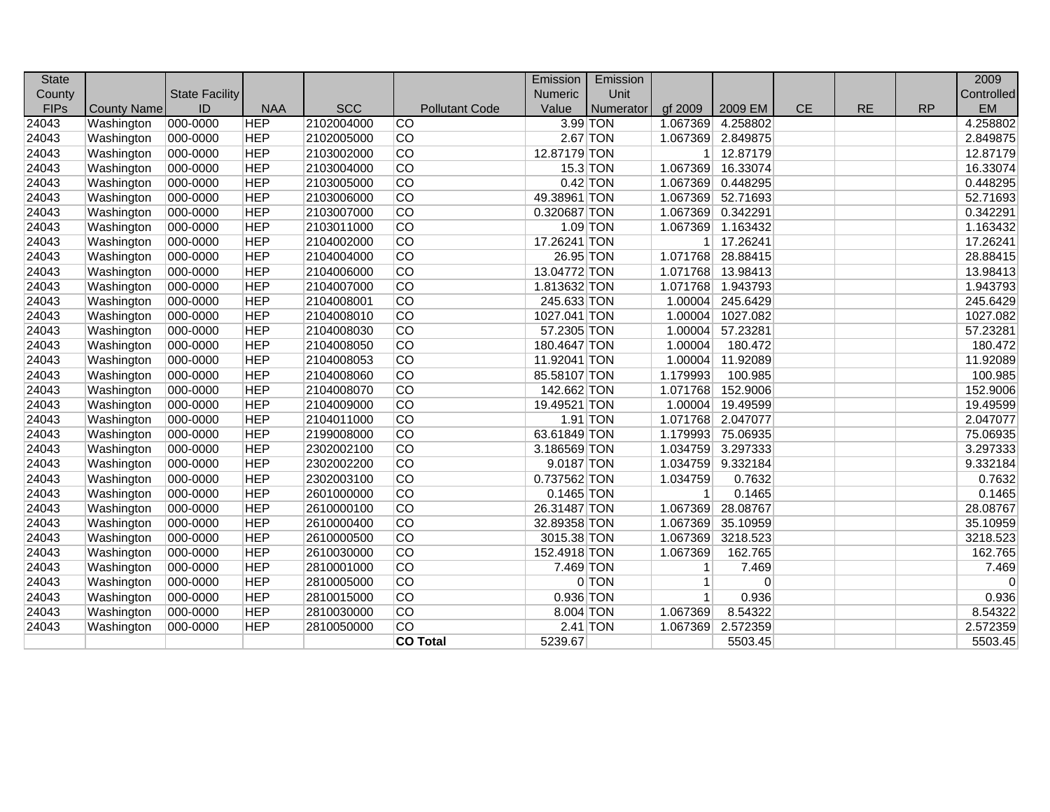| <b>State</b> |                    |                       |            |            |                       | Emission     | Emission        |                |                   |           |           |           | 2009       |
|--------------|--------------------|-----------------------|------------|------------|-----------------------|--------------|-----------------|----------------|-------------------|-----------|-----------|-----------|------------|
| County       |                    | <b>State Facility</b> |            |            |                       | Numeric      | Unit            |                |                   |           |           |           | Controlled |
| <b>FIPs</b>  | <b>County Name</b> | ID                    | <b>NAA</b> | <b>SCC</b> | <b>Pollutant Code</b> | Value        | Numerator       | gf 2009        | 2009 EM           | <b>CE</b> | <b>RE</b> | <b>RP</b> | <b>EM</b>  |
| 24043        | Washington         | 000-0000              | <b>HEP</b> | 2102004000 | <b>CO</b>             |              | 3.99 TON        | 1.067369       | 4.258802          |           |           |           | 4.258802   |
| 24043        | Washington         | 000-0000              | <b>HEP</b> | 2102005000 | CO                    |              | <b>2.67 TON</b> |                | 1.067369 2.849875 |           |           |           | 2.849875   |
| 24043        | Washington         | 000-0000              | <b>HEP</b> | 2103002000 | CO                    | 12.87179 TON |                 |                | 1 12.87179        |           |           |           | 12.87179   |
| 24043        | Washington         | 000-0000              | <b>HEP</b> | 2103004000 | $\overline{CO}$       |              | 15.3 TON        | 1.067369       | 16.33074          |           |           |           | 16.33074   |
| 24043        | Washington         | 000-0000              | <b>HEP</b> | 2103005000 | $\overline{CO}$       |              | $0.42$ TON      | 1.067369       | 0.448295          |           |           |           | 0.448295   |
| 24043        | Washington         | 000-0000              | <b>HEP</b> | 2103006000 | $\overline{CO}$       | 49.38961 TON |                 | 1.067369       | 52.71693          |           |           |           | 52.71693   |
| 24043        | Washington         | 000-0000              | <b>HEP</b> | 2103007000 | $\overline{CO}$       | 0.320687 TON |                 |                | 1.067369 0.342291 |           |           |           | 0.342291   |
| 24043        | Washington         | 000-0000              | <b>HEP</b> | 2103011000 | CO                    |              | $1.09$ TON      | 1.067369       | 1.163432          |           |           |           | 1.163432   |
| 24043        | Washington         | 000-0000              | <b>HEP</b> | 2104002000 | $\overline{CO}$       | 17.26241 TON |                 | 1 <sup>1</sup> | 17.26241          |           |           |           | 17.26241   |
| 24043        | Washington         | 000-0000              | <b>HEP</b> | 2104004000 | $\overline{CO}$       | 26.95 TON    |                 | 1.071768       | 28.88415          |           |           |           | 28.88415   |
| 24043        | Washington         | 000-0000              | <b>HEP</b> | 2104006000 | CO                    | 13.04772 TON |                 | 1.071768       | 13.98413          |           |           |           | 13.98413   |
| 24043        | Washington         | 000-0000              | <b>HEP</b> | 2104007000 | $\overline{CO}$       | 1.813632 TON |                 | 1.071768       | 1.943793          |           |           |           | 1.943793   |
| 24043        | Washington         | 000-0000              | <b>HEP</b> | 2104008001 | $\overline{CO}$       | 245.633 TON  |                 | 1.00004        | 245.6429          |           |           |           | 245.6429   |
| 24043        | Washington         | 000-0000              | <b>HEP</b> | 2104008010 | CO                    | 1027.041 TON |                 | 1.00004        | 1027.082          |           |           |           | 1027.082   |
| 24043        | Washington         | 000-0000              | <b>HEP</b> | 2104008030 | CO                    | 57.2305 TON  |                 | 1.00004        | 57.23281          |           |           |           | 57.23281   |
| 24043        | Washington         | 000-0000              | <b>HEP</b> | 2104008050 | CO                    | 180.4647 TON |                 | 1.00004        | 180.472           |           |           |           | 180.472    |
| 24043        | Washington         | 000-0000              | <b>HEP</b> | 2104008053 | $\overline{CO}$       | 11.92041 TON |                 | 1.00004        | 11.92089          |           |           |           | 11.92089   |
| 24043        | Washington         | 000-0000              | <b>HEP</b> | 2104008060 | $\overline{CO}$       | 85.58107 TON |                 | 1.179993       | 100.985           |           |           |           | 100.985    |
| 24043        | Washington         | 000-0000              | <b>HEP</b> | 2104008070 | $\overline{CO}$       | 142.662 TON  |                 | 1.071768       | 152.9006          |           |           |           | 152.9006   |
| 24043        | Washington         | 000-0000              | <b>HEP</b> | 2104009000 | $\overline{CO}$       | 19.49521 TON |                 | 1.00004        | 19.49599          |           |           |           | 19.49599   |
| 24043        | Washington         | 000-0000              | <b>HEP</b> | 2104011000 | $\overline{CO}$       |              | 1.91 TON        | 1.071768       | 2.047077          |           |           |           | 2.047077   |
| 24043        | Washington         | 000-0000              | <b>HEP</b> | 2199008000 | $\overline{CO}$       | 63.61849 TON |                 | 1.179993       | 75.06935          |           |           |           | 75.06935   |
| 24043        | Washington         | 000-0000              | <b>HEP</b> | 2302002100 | $\overline{CO}$       | 3.186569 TON |                 |                | 1.034759 3.297333 |           |           |           | 3.297333   |
| 24043        | Washington         | 000-0000              | <b>HEP</b> | 2302002200 | $\overline{CO}$       | 9.0187 TON   |                 |                | 1.034759 9.332184 |           |           |           | 9.332184   |
| 24043        | Washington         | 000-0000              | <b>HEP</b> | 2302003100 | CO                    | 0.737562 TON |                 | 1.034759       | 0.7632            |           |           |           | 0.7632     |
| 24043        | Washington         | 000-0000              | <b>HEP</b> | 2601000000 | $\overline{CO}$       | 0.1465 TON   |                 | 1              | 0.1465            |           |           |           | 0.1465     |
| 24043        | Washington         | 000-0000              | <b>HEP</b> | 2610000100 | CO                    | 26.31487 TON |                 | 1.067369       | 28.08767          |           |           |           | 28.08767   |
| 24043        | Washington         | 000-0000              | <b>HEP</b> | 2610000400 | $\overline{CO}$       | 32.89358 TON |                 | 1.067369       | 35.10959          |           |           |           | 35.10959   |
| 24043        | Washington         | 000-0000              | <b>HEP</b> | 2610000500 | $\overline{CO}$       | 3015.38 TON  |                 | 1.067369       | 3218.523          |           |           |           | 3218.523   |
| 24043        | Washington         | 000-0000              | <b>HEP</b> | 2610030000 | $\overline{CO}$       | 152.4918 TON |                 | 1.067369       | 162.765           |           |           |           | 162.765    |
| 24043        | Washington         | 000-0000              | <b>HEP</b> | 2810001000 | $\overline{CO}$       | 7.469 TON    |                 | $\mathbf{1}$   | 7.469             |           |           |           | 7.469      |
| 24043        | Washington         | 000-0000              | <b>HEP</b> | 2810005000 | CO                    |              | 0 TON           | $\vert$ 1      | $\overline{0}$    |           |           |           | $\Omega$   |
| 24043        | Washington         | 000-0000              | <b>HEP</b> | 2810015000 | CO                    | $0.936$ TON  |                 | $\vert$ 1      | 0.936             |           |           |           | 0.936      |
| 24043        | Washington         | 000-0000              | <b>HEP</b> | 2810030000 | $\overline{CO}$       | 8.004 TON    |                 | 1.067369       | 8.54322           |           |           |           | 8.54322    |
| 24043        | Washington         | 000-0000              | <b>HEP</b> | 2810050000 | $\overline{CO}$       |              | $2.41$ TON      | 1.067369       | 2.572359          |           |           |           | 2.572359   |
|              |                    |                       |            |            | <b>CO Total</b>       | 5239.67      |                 |                | 5503.45           |           |           |           | 5503.45    |
|              |                    |                       |            |            |                       |              |                 |                |                   |           |           |           |            |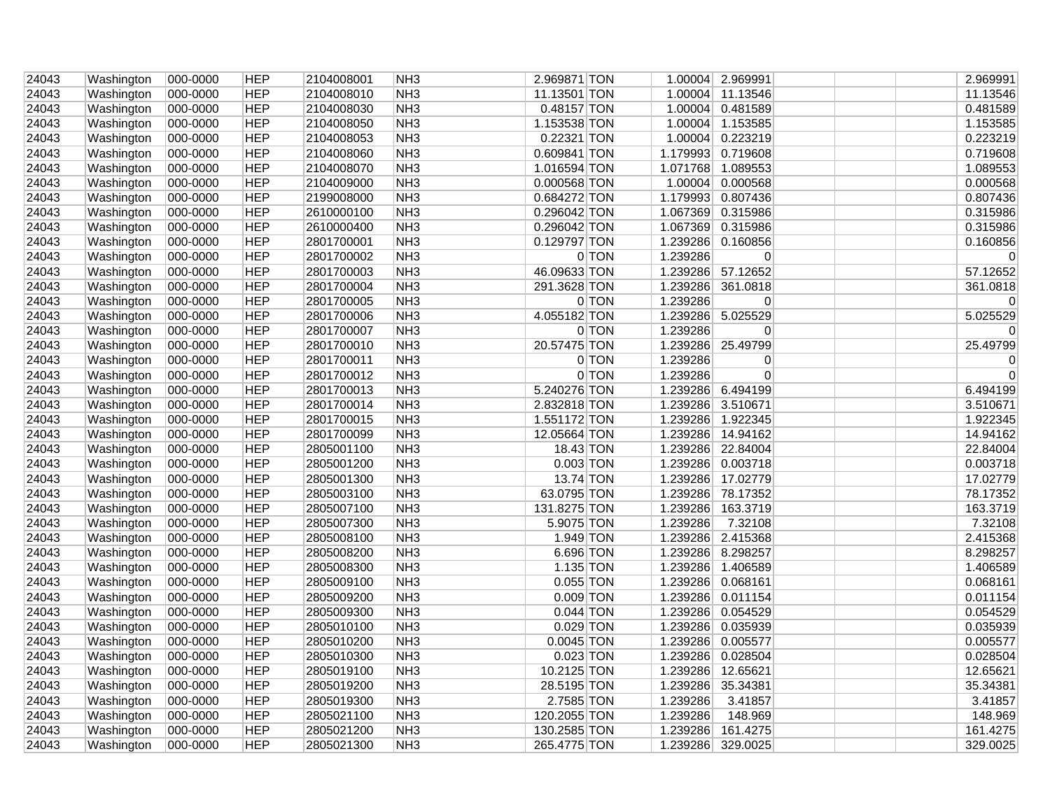| 24043 | Washington | 000-0000 | <b>HEP</b> | 2104008001 | NH <sub>3</sub> | 2.969871 TON |         |                   | 1.00004 2.969991  |  | 2.969991    |
|-------|------------|----------|------------|------------|-----------------|--------------|---------|-------------------|-------------------|--|-------------|
| 24043 | Washington | 000-0000 | <b>HEP</b> | 2104008010 | NH <sub>3</sub> | 11.13501 TON |         |                   | 1.00004 11.13546  |  | 11.13546    |
| 24043 | Washington | 000-0000 | <b>HEP</b> | 2104008030 | NH <sub>3</sub> | 0.48157 TON  |         |                   | 1.00004 0.481589  |  | 0.481589    |
| 24043 | Washington | 000-0000 | <b>HEP</b> | 2104008050 | NH3             | 1.153538 TON |         |                   | 1.00004 1.153585  |  | 1.153585    |
| 24043 | Washington | 000-0000 | <b>HEP</b> | 2104008053 | NH <sub>3</sub> | 0.22321 TON  |         |                   | 1.00004 0.223219  |  | 0.223219    |
| 24043 | Washington | 000-0000 | <b>HEP</b> | 2104008060 | NH <sub>3</sub> | 0.609841 TON |         |                   | 1.179993 0.719608 |  | 0.719608    |
| 24043 | Washington | 000-0000 | <b>HEP</b> | 2104008070 | NH <sub>3</sub> | 1.016594 TON |         |                   | 1.071768 1.089553 |  | 1.089553    |
| 24043 | Washington | 000-0000 | <b>HEP</b> | 2104009000 | NH3             | 0.000568 TON |         |                   | 1.00004 0.000568  |  | 0.000568    |
| 24043 | Washington | 000-0000 | <b>HEP</b> | 2199008000 | NH <sub>3</sub> | 0.684272 TON |         |                   | 1.179993 0.807436 |  | 0.807436    |
| 24043 | Washington | 000-0000 | <b>HEP</b> | 2610000100 | NH <sub>3</sub> | 0.296042 TON |         |                   | 1.067369 0.315986 |  | 0.315986    |
| 24043 | Washington | 000-0000 | <b>HEP</b> | 2610000400 | NH <sub>3</sub> | 0.296042 TON |         |                   | 1.067369 0.315986 |  | 0.315986    |
| 24043 | Washington | 000-0000 | <b>HEP</b> | 2801700001 | NH3             | 0.129797 TON |         |                   | 1.239286 0.160856 |  | 0.160856    |
| 24043 | Washington | 000-0000 | <b>HEP</b> | 2801700002 | NH <sub>3</sub> |              | 0 TON   | 1.239286          | 0                 |  | 0           |
| 24043 | Washington | 000-0000 | <b>HEP</b> | 2801700003 | NH <sub>3</sub> | 46.09633 TON |         |                   | 1.239286 57.12652 |  | 57.12652    |
| 24043 | Washington | 000-0000 | <b>HEP</b> | 2801700004 | NH <sub>3</sub> | 291.3628 TON |         |                   | 1.239286 361.0818 |  | 361.0818    |
| 24043 | Washington | 000-0000 | <b>HEP</b> | 2801700005 | NH <sub>3</sub> |              | 0 TON   | 1.239286          | 0                 |  | 0           |
| 24043 | Washington | 000-0000 | <b>HEP</b> | 2801700006 | NH <sub>3</sub> | 4.055182 TON |         |                   | 1.239286 5.025529 |  | 5.025529    |
| 24043 | Washington | 000-0000 | <b>HEP</b> | 2801700007 | NH <sub>3</sub> |              | $0$ TON | 1.239286          | 0                 |  | 0           |
| 24043 | Washington | 000-0000 | <b>HEP</b> | 2801700010 | NH <sub>3</sub> | 20.57475 TON |         |                   | 1.239286 25.49799 |  | 25.49799    |
| 24043 | Washington | 000-0000 | <b>HEP</b> | 2801700011 | NH3             |              | 0 TON   | 1.239286          | 0                 |  | 0           |
| 24043 | Washington | 000-0000 | <b>HEP</b> | 2801700012 | NH <sub>3</sub> |              | 0 TON   | 1.239286          | $\mathbf 0$       |  | $\mathbf 0$ |
| 24043 | Washington | 000-0000 | <b>HEP</b> | 2801700013 | NH <sub>3</sub> | 5.240276 TON |         |                   | 1.239286 6.494199 |  | 6.494199    |
| 24043 | Washington | 000-0000 | <b>HEP</b> | 2801700014 | NH <sub>3</sub> | 2.832818 TON |         | 1.239286 3.510671 |                   |  | 3.510671    |
| 24043 | Washington | 000-0000 | <b>HEP</b> | 2801700015 | NH <sub>3</sub> | 1.551172 TON |         |                   | 1.239286 1.922345 |  | 1.922345    |
| 24043 | Washington | 000-0000 | <b>HEP</b> | 2801700099 | NH <sub>3</sub> | 12.05664 TON |         |                   | 1.239286 14.94162 |  | 14.94162    |
| 24043 | Washington | 000-0000 | <b>HEP</b> | 2805001100 | NH <sub>3</sub> | $18.43$ TON  |         |                   | 1.239286 22.84004 |  | 22.84004    |
| 24043 | Washington | 000-0000 | <b>HEP</b> | 2805001200 | NH <sub>3</sub> | $0.003$ TON  |         |                   | 1.239286 0.003718 |  | 0.003718    |
| 24043 | Washington | 000-0000 | <b>HEP</b> | 2805001300 | NH <sub>3</sub> | 13.74 TON    |         |                   | 1.239286 17.02779 |  | 17.02779    |
| 24043 | Washington | 000-0000 | <b>HEP</b> | 2805003100 | NH <sub>3</sub> | 63.0795 TON  |         |                   | 1.239286 78.17352 |  | 78.17352    |
| 24043 | Washington | 000-0000 | <b>HEP</b> | 2805007100 | NH <sub>3</sub> | 131.8275 TON |         |                   | 1.239286 163.3719 |  | 163.3719    |
| 24043 | Washington | 000-0000 | <b>HEP</b> | 2805007300 | NH <sub>3</sub> | 5.9075 TON   |         | 1.239286          | 7.32108           |  | 7.32108     |
| 24043 | Washington | 000-0000 | <b>HEP</b> | 2805008100 | NH <sub>3</sub> | $1.949$ TON  |         |                   | 1.239286 2.415368 |  | 2.415368    |
| 24043 | Washington | 000-0000 | <b>HEP</b> | 2805008200 | NH3             | 6.696 TON    |         |                   | 1.239286 8.298257 |  | 8.298257    |
| 24043 | Washington | 000-0000 | <b>HEP</b> | 2805008300 | NH <sub>3</sub> | $1.135$ TON  |         |                   | 1.239286 1.406589 |  | 1.406589    |
| 24043 | Washington | 000-0000 | <b>HEP</b> | 2805009100 | NH <sub>3</sub> | 0.055 TON    |         |                   | 1.239286 0.068161 |  | 0.068161    |
| 24043 | Washington | 000-0000 | <b>HEP</b> | 2805009200 | NH <sub>3</sub> | $0.009$ TON  |         |                   | 1.239286 0.011154 |  | 0.011154    |
| 24043 | Washington | 000-0000 | <b>HEP</b> | 2805009300 | NH <sub>3</sub> | $0.044$ TON  |         |                   | 1.239286 0.054529 |  | 0.054529    |
| 24043 | Washington | 000-0000 | <b>HEP</b> | 2805010100 | NH <sub>3</sub> | $0.029$ TON  |         |                   | 1.239286 0.035939 |  | 0.035939    |
| 24043 | Washington | 000-0000 | <b>HEP</b> | 2805010200 | NH <sub>3</sub> | 0.0045 TON   |         |                   | 1.239286 0.005577 |  | 0.005577    |
| 24043 | Washington | 000-0000 | <b>HEP</b> | 2805010300 | NH <sub>3</sub> | $0.023$ TON  |         |                   | 1.239286 0.028504 |  | 0.028504    |
| 24043 | Washington | 000-0000 | <b>HEP</b> | 2805019100 | NH3             | 10.2125 TON  |         | 1.239286          | 12.65621          |  | 12.65621    |
| 24043 | Washington | 000-0000 | <b>HEP</b> | 2805019200 | NH <sub>3</sub> | 28.5195 TON  |         | 1.239286 35.34381 |                   |  | 35.34381    |
| 24043 | Washington | 000-0000 | <b>HEP</b> | 2805019300 | NH <sub>3</sub> | 2.7585 TON   |         | 1.239286          | 3.41857           |  | 3.41857     |
| 24043 | Washington | 000-0000 | <b>HEP</b> | 2805021100 | NH <sub>3</sub> | 120.2055 TON |         | 1.239286          | 148.969           |  | 148.969     |
| 24043 |            | 000-0000 | <b>HEP</b> | 2805021200 | NH <sub>3</sub> | 130.2585 TON |         | 1.239286          | 161.4275          |  | 161.4275    |
|       | Washington |          |            |            |                 |              |         |                   |                   |  |             |
| 24043 | Washington | 000-0000 | <b>HEP</b> | 2805021300 | NH <sub>3</sub> | 265.4775 TON |         |                   | 1.239286 329.0025 |  | 329.0025    |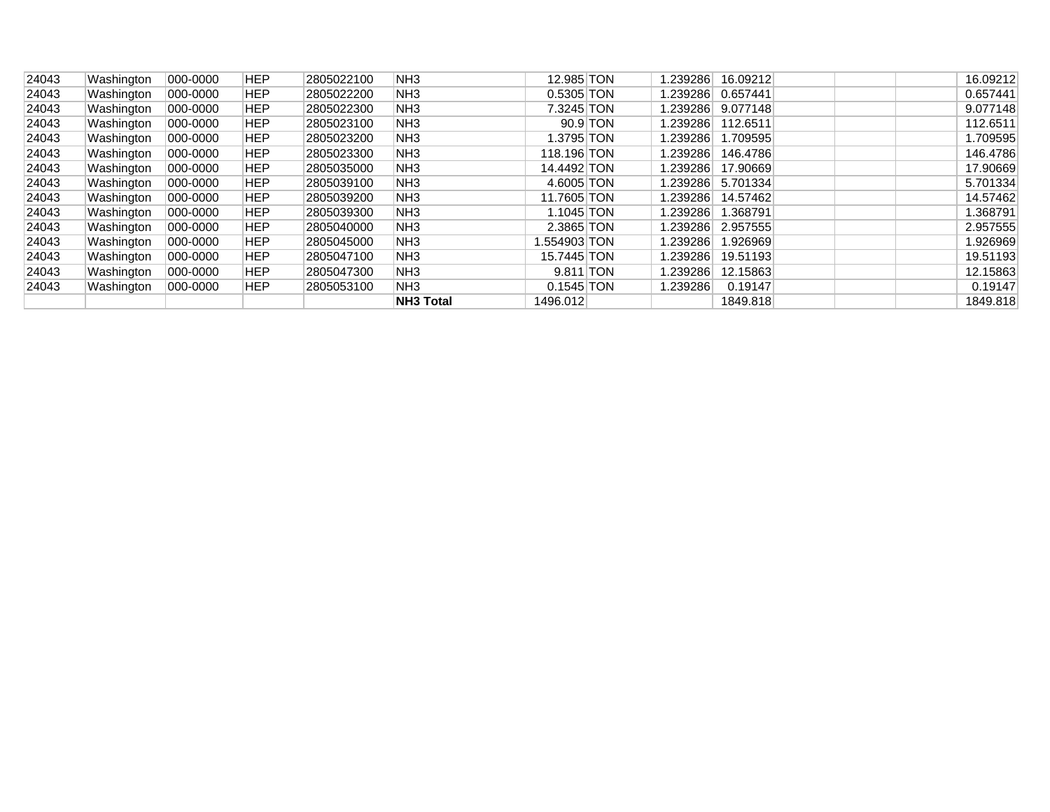| 24043 | Washington | $ 000 - 0000 $ | <b>HEP</b> | 2805022100 | NH <sub>3</sub>  | 12.985 TON   |          | 1.239286   | 16.09212          | 16.09212 |
|-------|------------|----------------|------------|------------|------------------|--------------|----------|------------|-------------------|----------|
| 24043 | Washington | 000-0000       | <b>HEP</b> | 2805022200 | NH <sub>3</sub>  | $0.5305$ TON |          |            |                   | 0.657441 |
| 24043 | Washington | 000-0000       | <b>HEP</b> | 2805022300 | NH <sub>3</sub>  | 7.3245 TON   |          |            | 239286  9.077148. | 9.077148 |
| 24043 | Washington | 000-0000       | <b>HEP</b> | 2805023100 | NH <sub>3</sub>  |              | 90.9 TON | ∃239286. ا | 112.6511          | 112.6511 |
| 24043 | Washington | 000-0000       | HEP        | 2805023200 | NH <sub>3</sub>  | 1.3795 TON   |          | ا239286. ا | 1.709595          | 1.709595 |
| 24043 | Washington | 000-0000       | <b>HEP</b> | 2805023300 | NH <sub>3</sub>  | 118.196 TON  |          | ∣239286. ا | 146.4786          | 146.4786 |
| 24043 | Washington | 000-0000       | <b>HEP</b> | 2805035000 | NH <sub>3</sub>  | 14.4492 TON  |          | 1.239286   | 17.90669          | 17.90669 |
| 24043 | Washington | 000-0000       | <b>HEP</b> | 2805039100 | NH <sub>3</sub>  | 4.6005 TON   |          | ∃239286. ا | 5.701334          | 5.701334 |
| 24043 | Washington | 000-0000       | <b>HEP</b> | 2805039200 | NH <sub>3</sub>  | 11.7605 TON  |          | ∃239286. ا | 14.57462          | 14.57462 |
| 24043 | Washington | 000-0000       | <b>HEP</b> | 2805039300 | NH <sub>3</sub>  | 1.1045 TON   |          | ا239286. ا | 1.368791          | 1.368791 |
| 24043 | Washington | 000-0000       | <b>HEP</b> | 2805040000 | NH <sub>3</sub>  | 2.3865 TON   |          | ا239286. ا | 2.957555          | 2.957555 |
| 24043 | Washington | 000-0000       | HEP        | 2805045000 | NH <sub>3</sub>  | 1.554903 TON |          | ∣239286. ا | 1.926969          | 1.926969 |
| 24043 | Washington | 000-0000       | <b>HEP</b> | 2805047100 | NH <sub>3</sub>  | 15.7445 TON  |          | 239286.    | 19.51193          | 19.51193 |
| 24043 | Washington | 000-0000       | <b>HEP</b> | 2805047300 | NH <sub>3</sub>  | 9.811 TON    |          | ا239286.   | 12.15863          | 12.15863 |
| 24043 | Washington | 000-0000       | <b>HEP</b> | 2805053100 | NH3              | $0.1545$ TON |          | 1.239286   | 0.19147           | 0.19147  |
|       |            |                |            |            | <b>NH3 Total</b> | 1496.012     |          |            | 1849.818          | 1849.818 |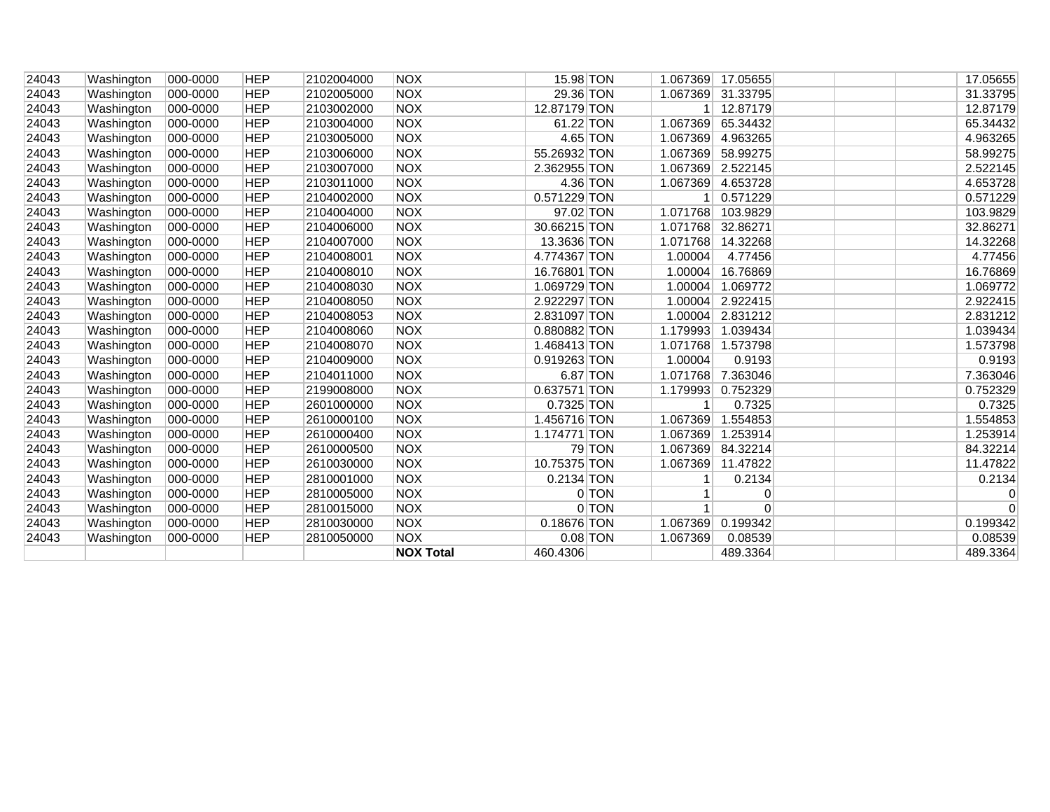|                |                          |                      |                          |                          | <b>NOX Total</b>         | 460.4306                   |                      | 489.3364             |  | 489.3364             |
|----------------|--------------------------|----------------------|--------------------------|--------------------------|--------------------------|----------------------------|----------------------|----------------------|--|----------------------|
| 24043          | Washington               | 000-0000             | <b>HEP</b>               | 2810050000               | <b>NOX</b>               | $0.08$ TON                 | 1.067369             | 0.08539              |  | 0.08539              |
| 24043          | Washington               | 000-0000             | <b>HEP</b>               | 2810030000               | <b>NOX</b>               | 0.18676 TON                | 1.067369             | 0.199342             |  | 0.199342             |
| 24043          | Washington               | 000-0000             | <b>HEP</b>               | 2810015000               | <b>NOX</b>               | $0$ TON                    |                      | 0                    |  | $\Omega$             |
| 24043          | Washington               | 000-0000             | <b>HEP</b>               | 2810005000               | <b>NOX</b>               | 0 TON                      |                      | $\overline{0}$       |  | 0                    |
| 24043          | Washington               | 000-0000             | <b>HEP</b>               | 2810001000               | <b>NOX</b>               | 0.2134 TON                 |                      | 0.2134               |  | 0.2134               |
| 24043          | Washington               | 000-0000             | <b>HEP</b>               | 2610030000               | <b>NOX</b>               | 10.75375 TON               | 1.067369             | 11.47822             |  | 11.47822             |
| 24043          | Washington               | 000-0000             | <b>HEP</b>               | 2610000500               | <b>NOX</b>               | $79$ TON                   | 1.067369             | 84.32214             |  | 84.32214             |
| 24043          | Washington               | 000-0000             | <b>HEP</b>               | 2610000400               | <b>NOX</b>               | 1.174771 TON               | 1.067369             | 1.253914             |  | 1.253914             |
| 24043          | Washington               | 000-0000             | <b>HEP</b>               | 2610000100               | <b>NOX</b>               | 1.456716 TON               | 1.067369             | 1.554853             |  | 1.554853             |
| 24043          | Washington               | 000-0000             | <b>HEP</b>               | 2601000000               | <b>NOX</b>               | 0.7325 TON                 | $\mathbf{1}$         | 0.7325               |  | 0.7325               |
| 24043          | Washington               | 000-0000             | <b>HEP</b>               | 2199008000               | <b>NOX</b>               | 0.637571 TON               | 1.179993             | 0.752329             |  | 0.752329             |
| 24043          | Washington               | 000-0000             | <b>HEP</b>               | 2104011000               | <b>NOX</b>               | 6.87 TON                   | 1.071768             | 7.363046             |  | 7.363046             |
| 24043          | Washington               | 000-0000             | <b>HEP</b>               | 2104009000               | <b>NOX</b>               | 0.919263 TON               | 1.00004              | 0.9193               |  | 0.9193               |
| 24043          | Washington               | 000-0000             | <b>HEP</b>               | 2104008070               | <b>NOX</b>               | 1.468413 TON               | 1.071768             | 1.573798             |  | 1.573798             |
| 24043          | Washington               | 000-0000             | <b>HEP</b>               | 2104008060               | <b>NOX</b>               | 0.880882 TON               | 1.179993             | 1.039434             |  | 1.039434             |
| 24043          | Washington               | 000-0000             | <b>HEP</b>               | 2104008053               | <b>NOX</b>               | 2.831097 TON               | 1.00004              | 2.831212             |  | 2.831212             |
| 24043          | Washington               | 000-0000             | <b>HEP</b>               | 2104008050               | <b>NOX</b>               | 2.922297 TON               | 1.00004              | 2.922415             |  | 2.922415             |
| 24043          | Washington               | 000-0000             | <b>HEP</b>               | 2104008030               | <b>NOX</b>               | 1.069729 TON               | 1.00004              | 1.069772             |  | 1.069772             |
| 24043          | Washington               | 000-0000             | <b>HEP</b>               | 2104008010               | <b>NOX</b>               | 16.76801 TON               | 1.00004              | 16.76869             |  | 16.76869             |
| 24043          | Washington               | 000-0000             | <b>HEP</b>               | 2104008001               | <b>NOX</b>               | 4.774367 TON               | 1.00004              | 4.77456              |  | 4.77456              |
| 24043          | Washington               | 000-0000             | <b>HEP</b>               | 2104007000               | <b>NOX</b>               | 13.3636 TON                | 1.071768             | 14.32268             |  | 14.32268             |
| 24043          | Washington               | 000-0000             | <b>HEP</b>               | 2104006000               | <b>NOX</b>               | 30.66215 TON               | 1.071768             | 32.86271             |  | 32.86271             |
| 24043          | Washington               | 000-0000             | <b>HEP</b>               | 2104004000               | <b>NOX</b>               | 97.02 TON                  | 1.071768             | 103.9829             |  | 103.9829             |
| 24043          | Washington               | 000-0000             | <b>HEP</b>               | 2104002000               | <b>NOX</b>               | 0.571229 TON               |                      | 0.571229             |  | 0.571229             |
| 24043          | Washington               | 000-0000             | <b>HEP</b>               | 2103011000               | <b>NOX</b>               | 4.36 TON                   | 1.067369             | 4.653728             |  | 4.653728             |
| 24043          | Washington<br>Washington | 000-0000<br>000-0000 | <b>HEP</b>               | 2103006000<br>2103007000 | <b>NOX</b>               | 2.362955 TON               | 1.067369<br>1.067369 | 58.99275<br>2.522145 |  | 58.99275<br>2.522145 |
| 24043<br>24043 | Washington               | 000-0000             | <b>HEP</b><br><b>HEP</b> | 2103005000               | <b>NOX</b><br><b>NOX</b> | $4.65$ TON<br>55.26932 TON | 1.067369             | 4.963265             |  | 4.963265             |
| 24043          | Washington               | 000-0000             | <b>HEP</b>               | 2103004000               | <b>NOX</b>               | 61.22 TON                  | 1.067369             | 65.34432             |  | 65.34432             |
| 24043          | Washington               | 000-0000             | <b>HEP</b>               | 2103002000               | <b>NOX</b>               | 12.87179 TON               |                      | 1 12.87179           |  | 12.87179             |
| 24043          | Washington               | 000-0000             | <b>HEP</b>               | 2102005000               | <b>NOX</b>               | 29.36 TON                  | 1.067369 31.33795    |                      |  | 31.33795             |
| 24043          | Washington               | 000-0000             | <b>HEP</b>               | 2102004000               | <b>NOX</b>               | 15.98 TON                  | 1.067369             | 17.05655             |  | 17.05655             |
|                |                          |                      |                          |                          |                          |                            |                      |                      |  |                      |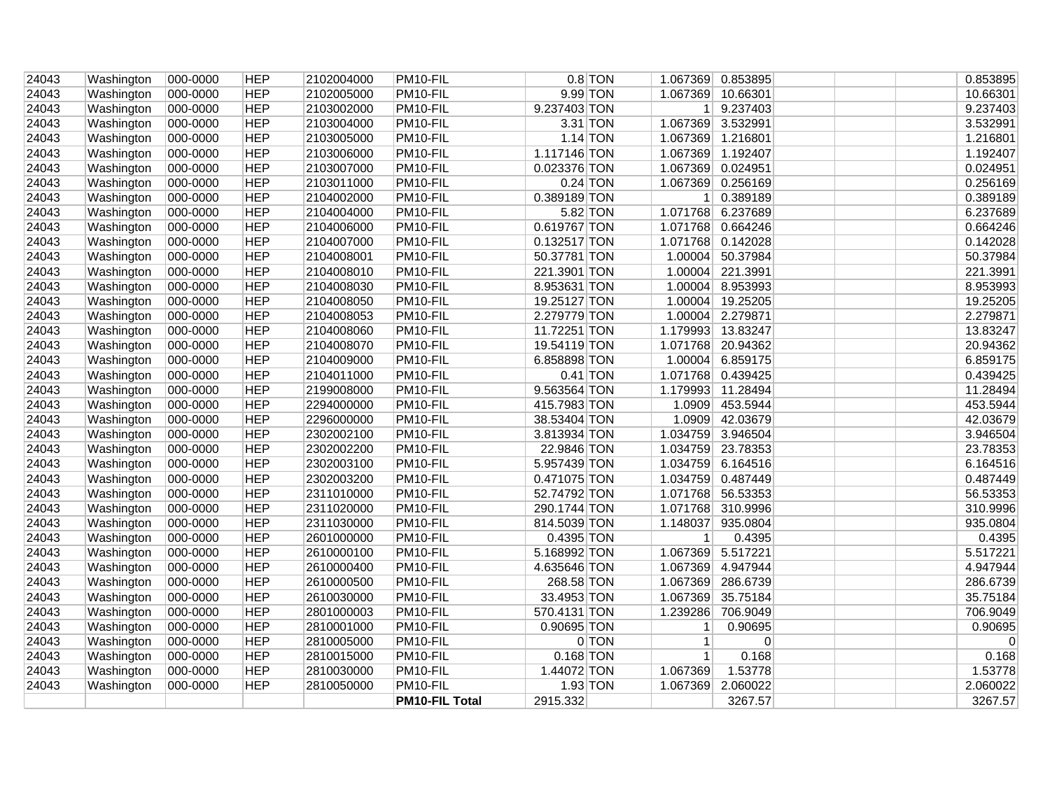| 24043 | Washington | 000-0000 | <b>HEP</b> | 2102004000 | PM10-FIL              |              | $0.8$ TON |                   | 1.067369 0.853895 | 0.853895    |
|-------|------------|----------|------------|------------|-----------------------|--------------|-----------|-------------------|-------------------|-------------|
| 24043 | Washington | 000-0000 | <b>HEP</b> | 2102005000 | PM10-FIL              | 9.99 TON     |           | 1.067369          | 10.66301          | 10.66301    |
| 24043 | Washington | 000-0000 | <b>HEP</b> | 2103002000 | PM10-FIL              | 9.237403 TON |           |                   | 1 9.237403        | 9.237403    |
| 24043 | Washington | 000-0000 | <b>HEP</b> | 2103004000 | PM10-FIL              | $3.31$ TON   |           | 1.067369 3.532991 |                   | 3.532991    |
| 24043 | Washington | 000-0000 | <b>HEP</b> | 2103005000 | PM10-FIL              | $1.14$ TON   |           |                   | 1.067369 1.216801 | 1.216801    |
| 24043 | Washington | 000-0000 | <b>HEP</b> | 2103006000 | PM10-FIL              | 1.117146 TON |           | 1.067369 1.192407 |                   | 1.192407    |
| 24043 | Washington | 000-0000 | <b>HEP</b> | 2103007000 | PM10-FIL              | 0.023376 TON |           |                   | 1.067369 0.024951 | 0.024951    |
| 24043 | Washington | 000-0000 | <b>HEP</b> | 2103011000 | PM10-FIL              | $0.24$ TON   |           |                   | 1.067369 0.256169 | 0.256169    |
| 24043 | Washington | 000-0000 | <b>HEP</b> | 2104002000 | PM10-FIL              | 0.389189 TON |           |                   | 1 0.389189        | 0.389189    |
| 24043 | Washington | 000-0000 | <b>HEP</b> | 2104004000 | PM10-FIL              | $5.82$ TON   |           |                   | 1.071768 6.237689 | 6.237689    |
| 24043 | Washington | 000-0000 | <b>HEP</b> | 2104006000 | PM10-FIL              | 0.619767 TON |           |                   | 1.071768 0.664246 | 0.664246    |
| 24043 | Washington | 000-0000 | <b>HEP</b> | 2104007000 | PM10-FIL              | 0.132517 TON |           |                   | 1.071768 0.142028 | 0.142028    |
| 24043 | Washington | 000-0000 | <b>HEP</b> | 2104008001 | PM10-FIL              | 50.37781 TON |           |                   | 1.00004 50.37984  | 50.37984    |
| 24043 | Washington | 000-0000 | <b>HEP</b> | 2104008010 | PM10-FIL              | 221.3901 TON |           |                   | 1.00004 221.3991  | 221.3991    |
| 24043 | Washington | 000-0000 | <b>HEP</b> | 2104008030 | PM10-FIL              | 8.953631 TON |           |                   | 1.00004 8.953993  | 8.953993    |
| 24043 | Washington | 000-0000 | <b>HEP</b> | 2104008050 | PM10-FIL              | 19.25127 TON |           |                   | 1.00004 19.25205  | 19.25205    |
| 24043 | Washington | 000-0000 | <b>HEP</b> | 2104008053 | PM10-FIL              | 2.279779 TON |           |                   | 1.00004 2.279871  | 2.279871    |
| 24043 | Washington | 000-0000 | <b>HEP</b> | 2104008060 | PM10-FIL              | 11.72251 TON |           |                   | 1.179993 13.83247 | 13.83247    |
| 24043 | Washington | 000-0000 | <b>HEP</b> | 2104008070 | PM10-FIL              | 19.54119 TON |           |                   | 1.071768 20.94362 | 20.94362    |
| 24043 | Washington | 000-0000 | <b>HEP</b> | 2104009000 | PM10-FIL              | 6.858898 TON |           |                   | 1.00004 6.859175  | 6.859175    |
| 24043 | Washington | 000-0000 | <b>HEP</b> | 2104011000 | PM10-FIL              | $0.41$ TON   |           |                   | 1.071768 0.439425 | 0.439425    |
| 24043 | Washington | 000-0000 | <b>HEP</b> | 2199008000 | PM10-FIL              | 9.563564 TON |           | 1.179993 11.28494 |                   | 11.28494    |
| 24043 | Washington | 000-0000 | <b>HEP</b> | 2294000000 | PM10-FIL              | 415.7983 TON |           | 1.0909            | 453.5944          | 453.5944    |
| 24043 | Washington | 000-0000 | <b>HEP</b> | 2296000000 | PM10-FIL              | 38.53404 TON |           |                   | 1.0909 42.03679   | 42.03679    |
| 24043 | Washington | 000-0000 | <b>HEP</b> | 2302002100 | PM10-FIL              | 3.813934 TON |           |                   | 1.034759 3.946504 | 3.946504    |
| 24043 | Washington | 000-0000 | <b>HEP</b> | 2302002200 | PM10-FIL              | 22.9846 TON  |           |                   | 1.034759 23.78353 | 23.78353    |
| 24043 | Washington | 000-0000 | <b>HEP</b> | 2302003100 | PM10-FIL              | 5.957439 TON |           |                   | 1.034759 6.164516 | 6.164516    |
| 24043 | Washington | 000-0000 | <b>HEP</b> | 2302003200 | PM10-FIL              | 0.471075 TON |           |                   | 1.034759 0.487449 | 0.487449    |
| 24043 | Washington | 000-0000 | <b>HEP</b> | 2311010000 | PM10-FIL              | 52.74792 TON |           |                   | 1.071768 56.53353 | 56.53353    |
| 24043 | Washington | 000-0000 | <b>HEP</b> | 2311020000 | PM10-FIL              | 290.1744 TON |           |                   | 1.071768 310.9996 | 310.9996    |
| 24043 | Washington | 000-0000 | <b>HEP</b> | 2311030000 | PM10-FIL              | 814.5039 TON |           |                   | 1.148037 935.0804 | 935.0804    |
| 24043 | Washington | 000-0000 | <b>HEP</b> | 2601000000 | PM10-FIL              | 0.4395 TON   |           | 1 <sup>1</sup>    | 0.4395            | 0.4395      |
| 24043 | Washington | 000-0000 | <b>HEP</b> | 2610000100 | PM10-FIL              | 5.168992 TON |           | 1.067369 5.517221 |                   | 5.517221    |
| 24043 | Washington | 000-0000 | <b>HEP</b> | 2610000400 | PM10-FIL              | 4.635646 TON |           |                   | 1.067369 4.947944 | 4.947944    |
| 24043 | Washington | 000-0000 | <b>HEP</b> | 2610000500 | PM10-FIL              | 268.58 TON   |           |                   | 1.067369 286.6739 | 286.6739    |
| 24043 | Washington | 000-0000 | <b>HEP</b> | 2610030000 | PM10-FIL              | 33.4953 TON  |           | 1.067369          | 35.75184          | 35.75184    |
| 24043 | Washington | 000-0000 | <b>HEP</b> | 2801000003 | PM10-FIL              | 570.4131 TON |           | 1.239286          | 706.9049          | 706.9049    |
| 24043 | Washington | 000-0000 | <b>HEP</b> | 2810001000 | PM10-FIL              | 0.90695 TON  |           | $\mathbf{1}$      | 0.90695           | 0.90695     |
| 24043 | Washington | 000-0000 | <b>HEP</b> | 2810005000 | PM10-FIL              |              | 0 TON     | 1 <sup>1</sup>    | 0                 | $\mathbf 0$ |
| 24043 | Washington | 000-0000 | <b>HEP</b> | 2810015000 | PM10-FIL              | $0.168$ TON  |           | 1                 | 0.168             | 0.168       |
| 24043 | Washington | 000-0000 | <b>HEP</b> | 2810030000 | PM10-FIL              | 1.44072 TON  |           | 1.067369          | 1.53778           | 1.53778     |
| 24043 | Washington | 000-0000 | <b>HEP</b> | 2810050000 | PM10-FIL              | $1.93$ TON   |           | 1.067369          | 2.060022          | 2.060022    |
|       |            |          |            |            | <b>PM10-FIL Total</b> | 2915.332     |           |                   | 3267.57           | 3267.57     |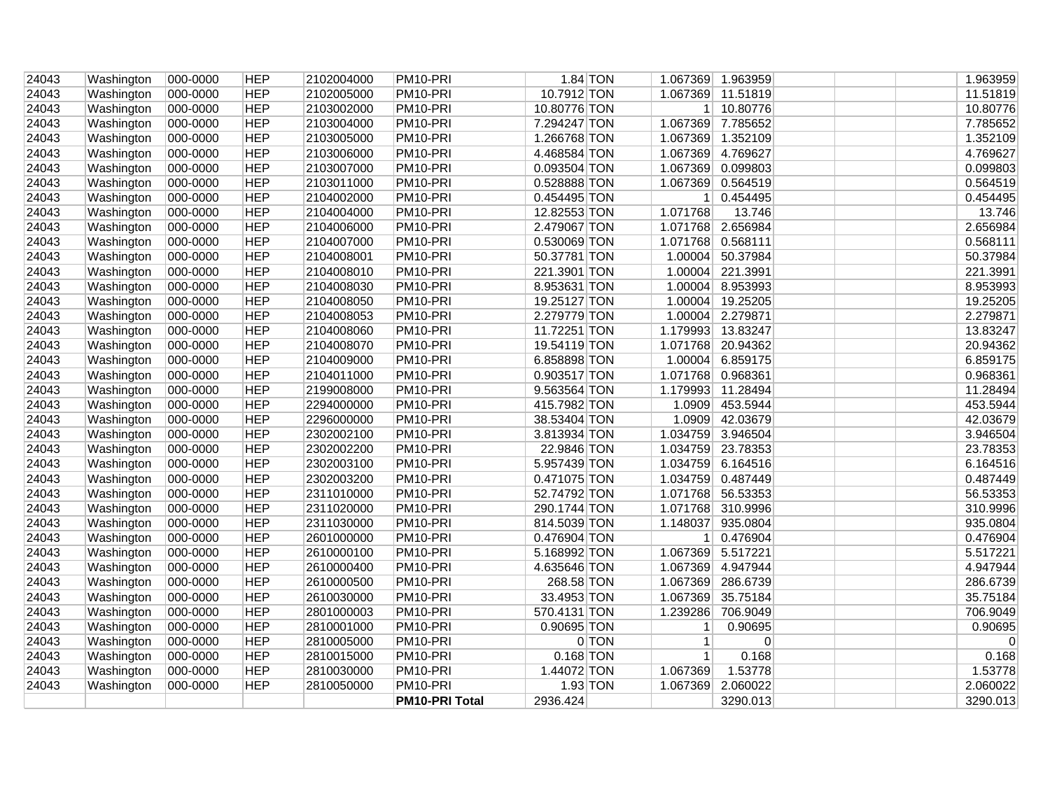| 24043 | Washington | 000-0000 | <b>HEP</b> | 2102004000 | PM10-PRI              | $1.84$ TON   |         |                   | 1.067369 1.963959 | 1.963959    |
|-------|------------|----------|------------|------------|-----------------------|--------------|---------|-------------------|-------------------|-------------|
| 24043 | Washington | 000-0000 | <b>HEP</b> | 2102005000 | PM10-PRI              | 10.7912 TON  |         |                   | 1.067369 11.51819 | 11.51819    |
| 24043 | Washington | 000-0000 | <b>HEP</b> | 2103002000 | PM10-PRI              | 10.80776 TON |         |                   | 1 10.80776        | 10.80776    |
| 24043 | Washington | 000-0000 | <b>HEP</b> | 2103004000 | PM10-PRI              | 7.294247 TON |         |                   | 1.067369 7.785652 | 7.785652    |
| 24043 | Washington | 000-0000 | <b>HEP</b> | 2103005000 | PM10-PRI              | 1.266768 TON |         |                   | 1.067369 1.352109 | 1.352109    |
| 24043 | Washington | 000-0000 | <b>HEP</b> | 2103006000 | PM10-PRI              | 4.468584 TON |         | 1.067369 4.769627 |                   | 4.769627    |
| 24043 | Washington | 000-0000 | <b>HEP</b> | 2103007000 | PM10-PRI              | 0.093504 TON |         |                   | 1.067369 0.099803 | 0.099803    |
| 24043 | Washington | 000-0000 | <b>HEP</b> | 2103011000 | PM10-PRI              | 0.528888 TON |         |                   | 1.067369 0.564519 | 0.564519    |
| 24043 | Washington | 000-0000 | <b>HEP</b> | 2104002000 | PM10-PRI              | 0.454495 TON |         |                   | 1 0.454495        | 0.454495    |
| 24043 | Washington | 000-0000 | <b>HEP</b> | 2104004000 | PM10-PRI              | 12.82553 TON |         | 1.071768          | 13.746            | 13.746      |
| 24043 | Washington | 000-0000 | <b>HEP</b> | 2104006000 | PM10-PRI              | 2.479067 TON |         |                   | 1.071768 2.656984 | 2.656984    |
| 24043 | Washington | 000-0000 | <b>HEP</b> | 2104007000 | PM10-PRI              | 0.530069 TON |         | 1.071768 0.568111 |                   | 0.568111    |
| 24043 | Washington | 000-0000 | <b>HEP</b> | 2104008001 | PM10-PRI              | 50.37781 TON |         |                   | 1.00004 50.37984  | 50.37984    |
| 24043 | Washington | 000-0000 | <b>HEP</b> | 2104008010 | PM10-PRI              | 221.3901 TON |         |                   | 1.00004 221.3991  | 221.3991    |
| 24043 | Washington | 000-0000 | <b>HEP</b> | 2104008030 | PM10-PRI              | 8.953631 TON |         |                   | 1.00004 8.953993  | 8.953993    |
| 24043 | Washington | 000-0000 | <b>HEP</b> | 2104008050 | PM10-PRI              | 19.25127 TON |         |                   | 1.00004 19.25205  | 19.25205    |
| 24043 | Washington | 000-0000 | <b>HEP</b> | 2104008053 | PM10-PRI              | 2.279779 TON |         |                   | 1.00004 2.279871  | 2.279871    |
| 24043 | Washington | 000-0000 | <b>HEP</b> | 2104008060 | PM10-PRI              | 11.72251 TON |         | 1.179993 13.83247 |                   | 13.83247    |
| 24043 | Washington | 000-0000 | <b>HEP</b> | 2104008070 | PM10-PRI              | 19.54119 TON |         |                   | 1.071768 20.94362 | 20.94362    |
| 24043 | Washington | 000-0000 | <b>HEP</b> | 2104009000 | PM10-PRI              | 6.858898 TON |         |                   | 1.00004 6.859175  | 6.859175    |
| 24043 | Washington | 000-0000 | <b>HEP</b> | 2104011000 | PM10-PRI              | 0.903517 TON |         | 1.071768 0.968361 |                   | 0.968361    |
| 24043 | Washington | 000-0000 | <b>HEP</b> | 2199008000 | PM10-PRI              | 9.563564 TON |         |                   | 1.179993 11.28494 | 11.28494    |
| 24043 | Washington | 000-0000 | <b>HEP</b> | 2294000000 | PM10-PRI              | 415.7982 TON |         | 1.0909            | 453.5944          | 453.5944    |
| 24043 | Washington | 000-0000 | <b>HEP</b> | 2296000000 | PM10-PRI              | 38.53404 TON |         |                   | 1.0909 42.03679   | 42.03679    |
| 24043 | Washington | 000-0000 | <b>HEP</b> | 2302002100 | PM10-PRI              | 3.813934 TON |         |                   | 1.034759 3.946504 | 3.946504    |
| 24043 | Washington | 000-0000 | <b>HEP</b> | 2302002200 | PM10-PRI              | 22.9846 TON  |         |                   | 1.034759 23.78353 | 23.78353    |
| 24043 | Washington | 000-0000 | <b>HEP</b> | 2302003100 | PM10-PRI              | 5.957439 TON |         |                   | 1.034759 6.164516 | 6.164516    |
| 24043 | Washington | 000-0000 | <b>HEP</b> | 2302003200 | PM10-PRI              | 0.471075 TON |         |                   | 1.034759 0.487449 | 0.487449    |
| 24043 | Washington | 000-0000 | <b>HEP</b> | 2311010000 | PM10-PRI              | 52.74792 TON |         |                   | 1.071768 56.53353 | 56.53353    |
| 24043 | Washington | 000-0000 | <b>HEP</b> | 2311020000 | PM10-PRI              | 290.1744 TON |         |                   | 1.071768 310.9996 | 310.9996    |
| 24043 | Washington | 000-0000 | <b>HEP</b> | 2311030000 | PM10-PRI              | 814.5039 TON |         |                   | 1.148037 935.0804 | 935.0804    |
| 24043 | Washington | 000-0000 | <b>HEP</b> | 2601000000 | PM10-PRI              | 0.476904 TON |         |                   | 1 0.476904        | 0.476904    |
| 24043 | Washington | 000-0000 | <b>HEP</b> | 2610000100 | PM10-PRI              | 5.168992 TON |         | 1.067369 5.517221 |                   | 5.517221    |
| 24043 | Washington | 000-0000 | <b>HEP</b> | 2610000400 | PM10-PRI              | 4.635646 TON |         |                   | 1.067369 4.947944 | 4.947944    |
| 24043 | Washington | 000-0000 | <b>HEP</b> | 2610000500 | PM10-PRI              | 268.58 TON   |         |                   | 1.067369 286.6739 | 286.6739    |
| 24043 | Washington | 000-0000 | <b>HEP</b> | 2610030000 | PM10-PRI              | 33.4953 TON  |         | 1.067369          | 35.75184          | 35.75184    |
| 24043 | Washington | 000-0000 | <b>HEP</b> | 2801000003 | PM10-PRI              | 570.4131 TON |         | 1.239286          | 706.9049          | 706.9049    |
| 24043 | Washington | 000-0000 | <b>HEP</b> | 2810001000 | PM10-PRI              | 0.90695 TON  |         | $\mathbf{1}$      | 0.90695           | 0.90695     |
| 24043 | Washington | 000-0000 | <b>HEP</b> | 2810005000 | PM10-PRI              |              | $0$ TON | $\vert$ 1         | 0                 | $\mathbf 0$ |
| 24043 | Washington | 000-0000 | <b>HEP</b> | 2810015000 | PM10-PRI              | $0.168$ TON  |         | 1                 | 0.168             | 0.168       |
| 24043 | Washington | 000-0000 | <b>HEP</b> | 2810030000 | PM10-PRI              | 1.44072 TON  |         | 1.067369          | 1.53778           | 1.53778     |
| 24043 | Washington | 000-0000 | <b>HEP</b> | 2810050000 | PM10-PRI              | $1.93$ TON   |         | 1.067369          | 2.060022          | 2.060022    |
|       |            |          |            |            | <b>PM10-PRI Total</b> | 2936.424     |         |                   | 3290.013          | 3290.013    |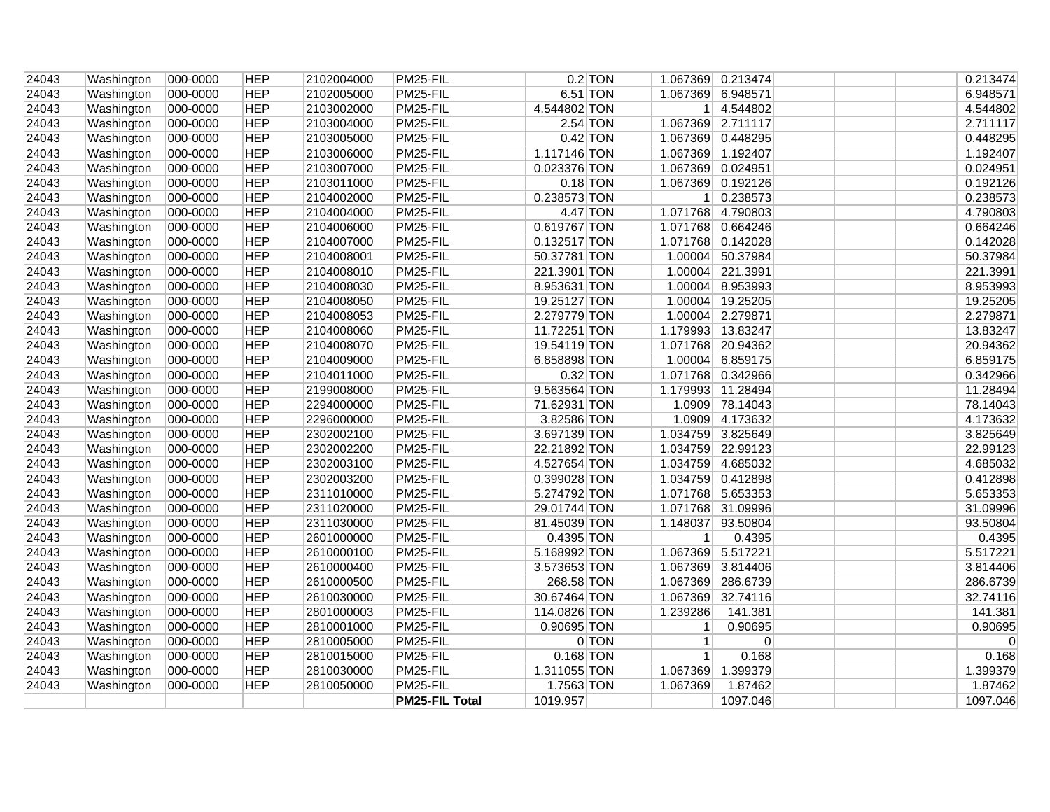| 24043 | Washington | 000-0000 | <b>HEP</b> | 2102004000 | PM25-FIL              |              | $0.2$ TON |                   | 1.067369 0.213474  | 0.213474    |
|-------|------------|----------|------------|------------|-----------------------|--------------|-----------|-------------------|--------------------|-------------|
| 24043 | Washington | 000-0000 | <b>HEP</b> | 2102005000 | PM25-FIL              | 6.51 TON     |           |                   | 1.067369 6.948571  | 6.948571    |
| 24043 | Washington | 000-0000 | <b>HEP</b> | 2103002000 | PM25-FIL              | 4.544802 TON |           |                   | 1 4.544802         | 4.544802    |
| 24043 | Washington | 000-0000 | <b>HEP</b> | 2103004000 | PM25-FIL              | 2.54 TON     |           |                   | 1.067369 2.711117  | 2.711117    |
| 24043 | Washington | 000-0000 | <b>HEP</b> | 2103005000 | PM25-FIL              | $0.42$ TON   |           |                   | 1.067369 0.448295  | 0.448295    |
| 24043 | Washington | 000-0000 | <b>HEP</b> | 2103006000 | PM25-FIL              | 1.117146 TON |           |                   | 1.067369 1.192407  | 1.192407    |
| 24043 | Washington | 000-0000 | <b>HEP</b> | 2103007000 | PM25-FIL              | 0.023376 TON |           |                   | 1.067369 0.024951  | 0.024951    |
| 24043 | Washington | 000-0000 | <b>HEP</b> | 2103011000 | PM25-FIL              | $0.18$ TON   |           |                   | 1.067369 0.192126  | 0.192126    |
| 24043 | Washington | 000-0000 | <b>HEP</b> | 2104002000 | PM25-FIL              | 0.238573 TON |           |                   | $1 \vert 0.238573$ | 0.238573    |
| 24043 | Washington | 000-0000 | <b>HEP</b> | 2104004000 | PM25-FIL              | 4.47 TON     |           |                   | 1.071768 4.790803  | 4.790803    |
| 24043 | Washington | 000-0000 | <b>HEP</b> | 2104006000 | PM25-FIL              | 0.619767 TON |           |                   | 1.071768 0.664246  | 0.664246    |
| 24043 | Washington | 000-0000 | <b>HEP</b> | 2104007000 | PM25-FIL              | 0.132517 TON |           |                   | 1.071768 0.142028  | 0.142028    |
| 24043 | Washington | 000-0000 | <b>HEP</b> | 2104008001 | PM25-FIL              | 50.37781 TON |           |                   | 1.00004 50.37984   | 50.37984    |
| 24043 | Washington | 000-0000 | <b>HEP</b> | 2104008010 | PM25-FIL              | 221.3901 TON |           |                   | 1.00004 221.3991   | 221.3991    |
| 24043 | Washington | 000-0000 | <b>HEP</b> | 2104008030 | PM25-FIL              | 8.953631 TON |           |                   | 1.00004 8.953993   | 8.953993    |
| 24043 | Washington | 000-0000 | <b>HEP</b> | 2104008050 | PM25-FIL              | 19.25127 TON |           |                   | 1.00004 19.25205   | 19.25205    |
| 24043 | Washington | 000-0000 | <b>HEP</b> | 2104008053 | PM25-FIL              | 2.279779 TON |           |                   | 1.00004 2.279871   | 2.279871    |
| 24043 | Washington | 000-0000 | <b>HEP</b> | 2104008060 | PM25-FIL              | 11.72251 TON |           |                   | 1.179993 13.83247  | 13.83247    |
| 24043 | Washington | 000-0000 | <b>HEP</b> | 2104008070 | PM25-FIL              | 19.54119 TON |           |                   | 1.071768 20.94362  | 20.94362    |
| 24043 | Washington | 000-0000 | <b>HEP</b> | 2104009000 | PM25-FIL              | 6.858898 TON |           |                   | 1.00004 6.859175   | 6.859175    |
| 24043 | Washington | 000-0000 | <b>HEP</b> | 2104011000 | PM25-FIL              | $0.32$ TON   |           |                   | 1.071768 0.342966  | 0.342966    |
| 24043 | Washington | 000-0000 | <b>HEP</b> | 2199008000 | PM25-FIL              | 9.563564 TON |           |                   | 1.179993 11.28494  | 11.28494    |
| 24043 | Washington | 000-0000 | <b>HEP</b> | 2294000000 | PM25-FIL              | 71.62931 TON |           |                   | 1.0909 78.14043    | 78.14043    |
| 24043 | Washington | 000-0000 | <b>HEP</b> | 2296000000 | PM25-FIL              | 3.82586 TON  |           |                   | 1.0909 4.173632    | 4.173632    |
| 24043 | Washington | 000-0000 | <b>HEP</b> | 2302002100 | PM25-FIL              | 3.697139 TON |           |                   | 1.034759 3.825649  | 3.825649    |
| 24043 | Washington | 000-0000 | <b>HEP</b> | 2302002200 | PM25-FIL              | 22.21892 TON |           |                   | 1.034759 22.99123  | 22.99123    |
| 24043 | Washington | 000-0000 | <b>HEP</b> | 2302003100 | PM25-FIL              | 4.527654 TON |           |                   | 1.034759 4.685032  | 4.685032    |
| 24043 | Washington | 000-0000 | <b>HEP</b> | 2302003200 | PM25-FIL              | 0.399028 TON |           |                   | 1.034759 0.412898  | 0.412898    |
| 24043 | Washington | 000-0000 | <b>HEP</b> | 2311010000 | PM25-FIL              | 5.274792 TON |           |                   | 1.071768 5.653353  | 5.653353    |
| 24043 | Washington | 000-0000 | <b>HEP</b> | 2311020000 | PM25-FIL              | 29.01744 TON |           |                   | 1.071768 31.09996  | 31.09996    |
| 24043 | Washington | 000-0000 | <b>HEP</b> | 2311030000 | PM25-FIL              | 81.45039 TON |           |                   | 1.148037 93.50804  | 93.50804    |
| 24043 | Washington | 000-0000 | <b>HEP</b> | 2601000000 | PM25-FIL              | 0.4395 TON   |           | 1 <sup>1</sup>    | 0.4395             | 0.4395      |
| 24043 | Washington | 000-0000 | <b>HEP</b> | 2610000100 | PM25-FIL              | 5.168992 TON |           | 1.067369 5.517221 |                    | 5.517221    |
| 24043 | Washington | 000-0000 | <b>HEP</b> | 2610000400 | PM25-FIL              | 3.573653 TON |           |                   | 1.067369 3.814406  | 3.814406    |
| 24043 | Washington | 000-0000 | <b>HEP</b> | 2610000500 | PM25-FIL              | 268.58 TON   |           |                   | 1.067369 286.6739  | 286.6739    |
| 24043 | Washington | 000-0000 | <b>HEP</b> | 2610030000 | PM25-FIL              | 30.67464 TON |           | 1.067369          | 32.74116           | 32.74116    |
| 24043 | Washington | 000-0000 | <b>HEP</b> | 2801000003 | PM25-FIL              | 114.0826 TON |           | 1.239286          | 141.381            | 141.381     |
| 24043 | Washington | 000-0000 | <b>HEP</b> | 2810001000 | PM25-FIL              | 0.90695 TON  |           | $\vert$ 1         | 0.90695            | 0.90695     |
| 24043 | Washington | 000-0000 | <b>HEP</b> | 2810005000 | PM25-FIL              |              | 0 TON     | 1 <sup>1</sup>    | 0                  | $\mathbf 0$ |
| 24043 | Washington | 000-0000 | <b>HEP</b> | 2810015000 | PM25-FIL              | $0.168$ TON  |           | 1                 | 0.168              | 0.168       |
| 24043 | Washington | 000-0000 | <b>HEP</b> | 2810030000 | PM25-FIL              | 1.311055 TON |           | 1.067369          | 1.399379           | 1.399379    |
| 24043 | Washington | 000-0000 | <b>HEP</b> | 2810050000 | PM25-FIL              | 1.7563 TON   |           | 1.067369          | 1.87462            | 1.87462     |
|       |            |          |            |            | <b>PM25-FIL Total</b> | 1019.957     |           |                   | 1097.046           | 1097.046    |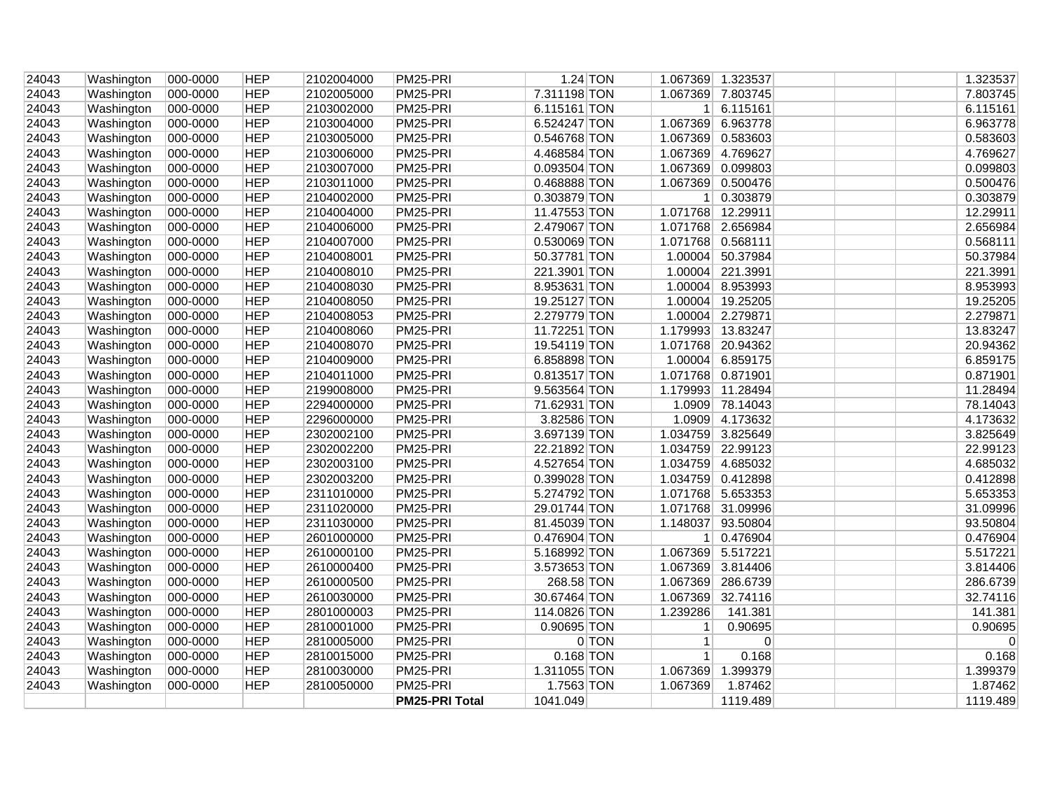| Washington | 000-0000                                                                                                                                                                                                                                                               | <b>HEP</b>                                                                                                                       | 2102004000 | PM25-PRI                                                                                                                                               | $1.24$ TON                                                           |                                                                                                                                                                                                              |          |                                                                                                                                                                                                                                                                                                                                                                                                                                                                                                                                                                                                                                                                                                                                                      | 1.323537 |
|------------|------------------------------------------------------------------------------------------------------------------------------------------------------------------------------------------------------------------------------------------------------------------------|----------------------------------------------------------------------------------------------------------------------------------|------------|--------------------------------------------------------------------------------------------------------------------------------------------------------|----------------------------------------------------------------------|--------------------------------------------------------------------------------------------------------------------------------------------------------------------------------------------------------------|----------|------------------------------------------------------------------------------------------------------------------------------------------------------------------------------------------------------------------------------------------------------------------------------------------------------------------------------------------------------------------------------------------------------------------------------------------------------------------------------------------------------------------------------------------------------------------------------------------------------------------------------------------------------------------------------------------------------------------------------------------------------|----------|
| Washington | 000-0000                                                                                                                                                                                                                                                               | <b>HEP</b>                                                                                                                       | 2102005000 | PM25-PRI                                                                                                                                               | 7.311198 TON                                                         |                                                                                                                                                                                                              |          |                                                                                                                                                                                                                                                                                                                                                                                                                                                                                                                                                                                                                                                                                                                                                      | 7.803745 |
|            | 000-0000                                                                                                                                                                                                                                                               | <b>HEP</b>                                                                                                                       | 2103002000 | PM25-PRI                                                                                                                                               | 6.115161 TON                                                         |                                                                                                                                                                                                              |          |                                                                                                                                                                                                                                                                                                                                                                                                                                                                                                                                                                                                                                                                                                                                                      | 6.115161 |
| Washington | 000-0000                                                                                                                                                                                                                                                               | <b>HEP</b>                                                                                                                       | 2103004000 | PM25-PRI                                                                                                                                               | 6.524247 TON                                                         |                                                                                                                                                                                                              |          |                                                                                                                                                                                                                                                                                                                                                                                                                                                                                                                                                                                                                                                                                                                                                      | 6.963778 |
| Washington | 000-0000                                                                                                                                                                                                                                                               | <b>HEP</b>                                                                                                                       | 2103005000 | PM25-PRI                                                                                                                                               | 0.546768 TON                                                         |                                                                                                                                                                                                              |          |                                                                                                                                                                                                                                                                                                                                                                                                                                                                                                                                                                                                                                                                                                                                                      | 0.583603 |
|            | 000-0000                                                                                                                                                                                                                                                               | <b>HEP</b>                                                                                                                       | 2103006000 | PM25-PRI                                                                                                                                               | 4.468584 TON                                                         |                                                                                                                                                                                                              |          |                                                                                                                                                                                                                                                                                                                                                                                                                                                                                                                                                                                                                                                                                                                                                      | 4.769627 |
|            |                                                                                                                                                                                                                                                                        | <b>HEP</b>                                                                                                                       |            |                                                                                                                                                        |                                                                      |                                                                                                                                                                                                              |          |                                                                                                                                                                                                                                                                                                                                                                                                                                                                                                                                                                                                                                                                                                                                                      | 0.099803 |
|            | 000-0000                                                                                                                                                                                                                                                               | <b>HEP</b>                                                                                                                       | 2103011000 | PM25-PRI                                                                                                                                               | 0.468888 TON                                                         |                                                                                                                                                                                                              |          |                                                                                                                                                                                                                                                                                                                                                                                                                                                                                                                                                                                                                                                                                                                                                      | 0.500476 |
|            | 000-0000                                                                                                                                                                                                                                                               | <b>HEP</b>                                                                                                                       | 2104002000 | PM25-PRI                                                                                                                                               | 0.303879 TON                                                         |                                                                                                                                                                                                              |          |                                                                                                                                                                                                                                                                                                                                                                                                                                                                                                                                                                                                                                                                                                                                                      | 0.303879 |
|            |                                                                                                                                                                                                                                                                        | <b>HEP</b>                                                                                                                       |            | PM25-PRI                                                                                                                                               |                                                                      |                                                                                                                                                                                                              |          |                                                                                                                                                                                                                                                                                                                                                                                                                                                                                                                                                                                                                                                                                                                                                      | 12.29911 |
|            |                                                                                                                                                                                                                                                                        | <b>HEP</b>                                                                                                                       |            | PM25-PRI                                                                                                                                               |                                                                      |                                                                                                                                                                                                              |          |                                                                                                                                                                                                                                                                                                                                                                                                                                                                                                                                                                                                                                                                                                                                                      | 2.656984 |
| Washington | 000-0000                                                                                                                                                                                                                                                               | <b>HEP</b>                                                                                                                       | 2104007000 | PM25-PRI                                                                                                                                               | 0.530069 TON                                                         |                                                                                                                                                                                                              |          |                                                                                                                                                                                                                                                                                                                                                                                                                                                                                                                                                                                                                                                                                                                                                      | 0.568111 |
| Washington | 000-0000                                                                                                                                                                                                                                                               | <b>HEP</b>                                                                                                                       | 2104008001 | PM25-PRI                                                                                                                                               | 50.37781 TON                                                         |                                                                                                                                                                                                              |          |                                                                                                                                                                                                                                                                                                                                                                                                                                                                                                                                                                                                                                                                                                                                                      | 50.37984 |
|            | 000-0000                                                                                                                                                                                                                                                               | <b>HEP</b>                                                                                                                       | 2104008010 | PM25-PRI                                                                                                                                               | 221.3901 TON                                                         |                                                                                                                                                                                                              |          |                                                                                                                                                                                                                                                                                                                                                                                                                                                                                                                                                                                                                                                                                                                                                      | 221.3991 |
|            | 000-0000                                                                                                                                                                                                                                                               | <b>HEP</b>                                                                                                                       | 2104008030 | PM25-PRI                                                                                                                                               |                                                                      |                                                                                                                                                                                                              |          |                                                                                                                                                                                                                                                                                                                                                                                                                                                                                                                                                                                                                                                                                                                                                      | 8.953993 |
|            |                                                                                                                                                                                                                                                                        | <b>HEP</b>                                                                                                                       |            | PM25-PRI                                                                                                                                               |                                                                      |                                                                                                                                                                                                              |          |                                                                                                                                                                                                                                                                                                                                                                                                                                                                                                                                                                                                                                                                                                                                                      | 19.25205 |
|            |                                                                                                                                                                                                                                                                        | <b>HEP</b>                                                                                                                       |            | PM25-PRI                                                                                                                                               |                                                                      |                                                                                                                                                                                                              |          |                                                                                                                                                                                                                                                                                                                                                                                                                                                                                                                                                                                                                                                                                                                                                      | 2.279871 |
|            |                                                                                                                                                                                                                                                                        | <b>HEP</b>                                                                                                                       |            | PM25-PRI                                                                                                                                               |                                                                      |                                                                                                                                                                                                              |          |                                                                                                                                                                                                                                                                                                                                                                                                                                                                                                                                                                                                                                                                                                                                                      | 13.83247 |
|            |                                                                                                                                                                                                                                                                        |                                                                                                                                  |            |                                                                                                                                                        |                                                                      |                                                                                                                                                                                                              |          |                                                                                                                                                                                                                                                                                                                                                                                                                                                                                                                                                                                                                                                                                                                                                      | 20.94362 |
|            |                                                                                                                                                                                                                                                                        | <b>HEP</b>                                                                                                                       |            |                                                                                                                                                        |                                                                      |                                                                                                                                                                                                              |          |                                                                                                                                                                                                                                                                                                                                                                                                                                                                                                                                                                                                                                                                                                                                                      | 6.859175 |
|            |                                                                                                                                                                                                                                                                        | <b>HEP</b>                                                                                                                       |            |                                                                                                                                                        |                                                                      |                                                                                                                                                                                                              |          |                                                                                                                                                                                                                                                                                                                                                                                                                                                                                                                                                                                                                                                                                                                                                      | 0.871901 |
|            |                                                                                                                                                                                                                                                                        | <b>HEP</b>                                                                                                                       |            |                                                                                                                                                        |                                                                      |                                                                                                                                                                                                              |          |                                                                                                                                                                                                                                                                                                                                                                                                                                                                                                                                                                                                                                                                                                                                                      | 11.28494 |
|            |                                                                                                                                                                                                                                                                        | <b>HEP</b>                                                                                                                       |            |                                                                                                                                                        |                                                                      |                                                                                                                                                                                                              |          |                                                                                                                                                                                                                                                                                                                                                                                                                                                                                                                                                                                                                                                                                                                                                      | 78.14043 |
|            | 000-0000                                                                                                                                                                                                                                                               | <b>HEP</b>                                                                                                                       | 2296000000 | PM25-PRI                                                                                                                                               | 3.82586 TON                                                          |                                                                                                                                                                                                              |          |                                                                                                                                                                                                                                                                                                                                                                                                                                                                                                                                                                                                                                                                                                                                                      | 4.173632 |
|            | 000-0000                                                                                                                                                                                                                                                               | <b>HEP</b>                                                                                                                       | 2302002100 | PM25-PRI                                                                                                                                               |                                                                      |                                                                                                                                                                                                              |          |                                                                                                                                                                                                                                                                                                                                                                                                                                                                                                                                                                                                                                                                                                                                                      | 3.825649 |
| Washington | 000-0000                                                                                                                                                                                                                                                               | <b>HEP</b>                                                                                                                       | 2302002200 | PM25-PRI                                                                                                                                               | 22.21892 TON                                                         |                                                                                                                                                                                                              |          |                                                                                                                                                                                                                                                                                                                                                                                                                                                                                                                                                                                                                                                                                                                                                      | 22.99123 |
| Washington | 000-0000                                                                                                                                                                                                                                                               | <b>HEP</b>                                                                                                                       | 2302003100 | PM25-PRI                                                                                                                                               | 4.527654 TON                                                         |                                                                                                                                                                                                              |          |                                                                                                                                                                                                                                                                                                                                                                                                                                                                                                                                                                                                                                                                                                                                                      | 4.685032 |
| Washington | 000-0000                                                                                                                                                                                                                                                               | <b>HEP</b>                                                                                                                       | 2302003200 | PM25-PRI                                                                                                                                               | 0.399028 TON                                                         |                                                                                                                                                                                                              |          |                                                                                                                                                                                                                                                                                                                                                                                                                                                                                                                                                                                                                                                                                                                                                      | 0.412898 |
| Washington | 000-0000                                                                                                                                                                                                                                                               | <b>HEP</b>                                                                                                                       | 2311010000 | PM25-PRI                                                                                                                                               | 5.274792 TON                                                         |                                                                                                                                                                                                              |          |                                                                                                                                                                                                                                                                                                                                                                                                                                                                                                                                                                                                                                                                                                                                                      | 5.653353 |
| Washington | 000-0000                                                                                                                                                                                                                                                               | <b>HEP</b>                                                                                                                       | 2311020000 | PM25-PRI                                                                                                                                               | 29.01744 TON                                                         |                                                                                                                                                                                                              |          |                                                                                                                                                                                                                                                                                                                                                                                                                                                                                                                                                                                                                                                                                                                                                      | 31.09996 |
| Washington | 000-0000                                                                                                                                                                                                                                                               | <b>HEP</b>                                                                                                                       | 2311030000 | PM25-PRI                                                                                                                                               | 81.45039 TON                                                         |                                                                                                                                                                                                              |          |                                                                                                                                                                                                                                                                                                                                                                                                                                                                                                                                                                                                                                                                                                                                                      | 93.50804 |
| Washington | 000-0000                                                                                                                                                                                                                                                               | <b>HEP</b>                                                                                                                       | 2601000000 | PM25-PRI                                                                                                                                               | 0.476904 TON                                                         |                                                                                                                                                                                                              |          |                                                                                                                                                                                                                                                                                                                                                                                                                                                                                                                                                                                                                                                                                                                                                      | 0.476904 |
| Washington | 000-0000                                                                                                                                                                                                                                                               | <b>HEP</b>                                                                                                                       | 2610000100 | PM25-PRI                                                                                                                                               | 5.168992 TON                                                         |                                                                                                                                                                                                              |          |                                                                                                                                                                                                                                                                                                                                                                                                                                                                                                                                                                                                                                                                                                                                                      | 5.517221 |
| Washington | 000-0000                                                                                                                                                                                                                                                               | <b>HEP</b>                                                                                                                       | 2610000400 | PM25-PRI                                                                                                                                               | 3.573653 TON                                                         |                                                                                                                                                                                                              |          |                                                                                                                                                                                                                                                                                                                                                                                                                                                                                                                                                                                                                                                                                                                                                      | 3.814406 |
| Washington | 000-0000                                                                                                                                                                                                                                                               | <b>HEP</b>                                                                                                                       | 2610000500 | PM25-PRI                                                                                                                                               | 268.58 TON                                                           |                                                                                                                                                                                                              |          |                                                                                                                                                                                                                                                                                                                                                                                                                                                                                                                                                                                                                                                                                                                                                      | 286.6739 |
| Washington | 000-0000                                                                                                                                                                                                                                                               | <b>HEP</b>                                                                                                                       | 2610030000 | PM25-PRI                                                                                                                                               | 30.67464 TON                                                         |                                                                                                                                                                                                              | 32.74116 |                                                                                                                                                                                                                                                                                                                                                                                                                                                                                                                                                                                                                                                                                                                                                      | 32.74116 |
| Washington | 000-0000                                                                                                                                                                                                                                                               | <b>HEP</b>                                                                                                                       | 2801000003 | PM25-PRI                                                                                                                                               | 114.0826 TON                                                         | 1.239286                                                                                                                                                                                                     | 141.381  |                                                                                                                                                                                                                                                                                                                                                                                                                                                                                                                                                                                                                                                                                                                                                      | 141.381  |
| Washington | 000-0000                                                                                                                                                                                                                                                               | <b>HEP</b>                                                                                                                       | 2810001000 | PM25-PRI                                                                                                                                               | 0.90695 TON                                                          | $\mathbf{1}$                                                                                                                                                                                                 | 0.90695  |                                                                                                                                                                                                                                                                                                                                                                                                                                                                                                                                                                                                                                                                                                                                                      | 0.90695  |
| Washington | 000-0000                                                                                                                                                                                                                                                               | <b>HEP</b>                                                                                                                       | 2810005000 | PM25-PRI                                                                                                                                               | 0 TON                                                                | 1                                                                                                                                                                                                            | 0        |                                                                                                                                                                                                                                                                                                                                                                                                                                                                                                                                                                                                                                                                                                                                                      | $\Omega$ |
| Washington | 000-0000                                                                                                                                                                                                                                                               | <b>HEP</b>                                                                                                                       | 2810015000 | PM25-PRI                                                                                                                                               | $0.168$ TON                                                          | 1                                                                                                                                                                                                            | 0.168    |                                                                                                                                                                                                                                                                                                                                                                                                                                                                                                                                                                                                                                                                                                                                                      | 0.168    |
| Washington | 000-0000                                                                                                                                                                                                                                                               | <b>HEP</b>                                                                                                                       | 2810030000 | PM25-PRI                                                                                                                                               | 1.311055 TON                                                         |                                                                                                                                                                                                              | 1.399379 |                                                                                                                                                                                                                                                                                                                                                                                                                                                                                                                                                                                                                                                                                                                                                      | 1.399379 |
| Washington | 000-0000                                                                                                                                                                                                                                                               | <b>HEP</b>                                                                                                                       | 2810050000 | PM25-PRI                                                                                                                                               | 1.7563 TON                                                           | 1.067369                                                                                                                                                                                                     | 1.87462  |                                                                                                                                                                                                                                                                                                                                                                                                                                                                                                                                                                                                                                                                                                                                                      | 1.87462  |
|            |                                                                                                                                                                                                                                                                        |                                                                                                                                  |            | <b>PM25-PRI Total</b>                                                                                                                                  | 1041.049                                                             |                                                                                                                                                                                                              | 1119.489 |                                                                                                                                                                                                                                                                                                                                                                                                                                                                                                                                                                                                                                                                                                                                                      | 1119.489 |
|            | Washington<br>Washington<br>Washington<br>Washington<br>Washington<br>Washington<br>Washington<br>Washington<br>Washington<br>Washington<br>Washington<br>Washington<br>Washington<br>Washington<br>Washington<br>Washington<br>Washington<br>Washington<br>Washington | 000-0000<br>000-0000<br>000-0000<br>000-0000<br>000-0000<br>000-0000<br>000-0000<br>000-0000<br>000-0000<br>000-0000<br>000-0000 | <b>HEP</b> | 2103007000<br>2104004000<br>2104006000<br>2104008050<br>2104008053<br>2104008060<br>2104008070<br>2104009000<br>2104011000<br>2199008000<br>2294000000 | PM25-PRI<br>PM25-PRI<br>PM25-PRI<br>PM25-PRI<br>PM25-PRI<br>PM25-PRI | 0.093504 TON<br>11.47553 TON<br>2.479067 TON<br>8.953631 TON<br>19.25127 TON<br>2.279779 TON<br>11.72251 TON<br>19.54119 TON<br>6.858898 TON<br>0.813517 TON<br>9.563564 TON<br>71.62931 TON<br>3.697139 TON |          | 1.067369 1.323537<br>1.067369 7.803745<br>1 6.115161<br>1.067369 6.963778<br>1.067369 0.583603<br>1.067369 4.769627<br>1.067369 0.099803<br>1.067369 0.500476<br>1 0.303879<br>1.071768 12.29911<br>1.071768 2.656984<br>1.071768 0.568111<br>1.00004 50.37984<br>1.00004 221.3991<br>1.00004 8.953993<br>1.00004 19.25205<br>1.00004 2.279871<br>1.179993 13.83247<br>1.071768 20.94362<br>1.00004 6.859175<br>1.071768 0.871901<br>1.179993 11.28494<br>1.0909 78.14043<br>1.0909 4.173632<br>1.034759 3.825649<br>1.034759 22.99123<br>1.034759 4.685032<br>1.034759 0.412898<br>1.071768 5.653353<br>1.071768 31.09996<br>1.148037 93.50804<br>1 0.476904<br>1.067369 5.517221<br>1.067369 3.814406<br>1.067369 286.6739<br>1.067369<br>1.067369 |          |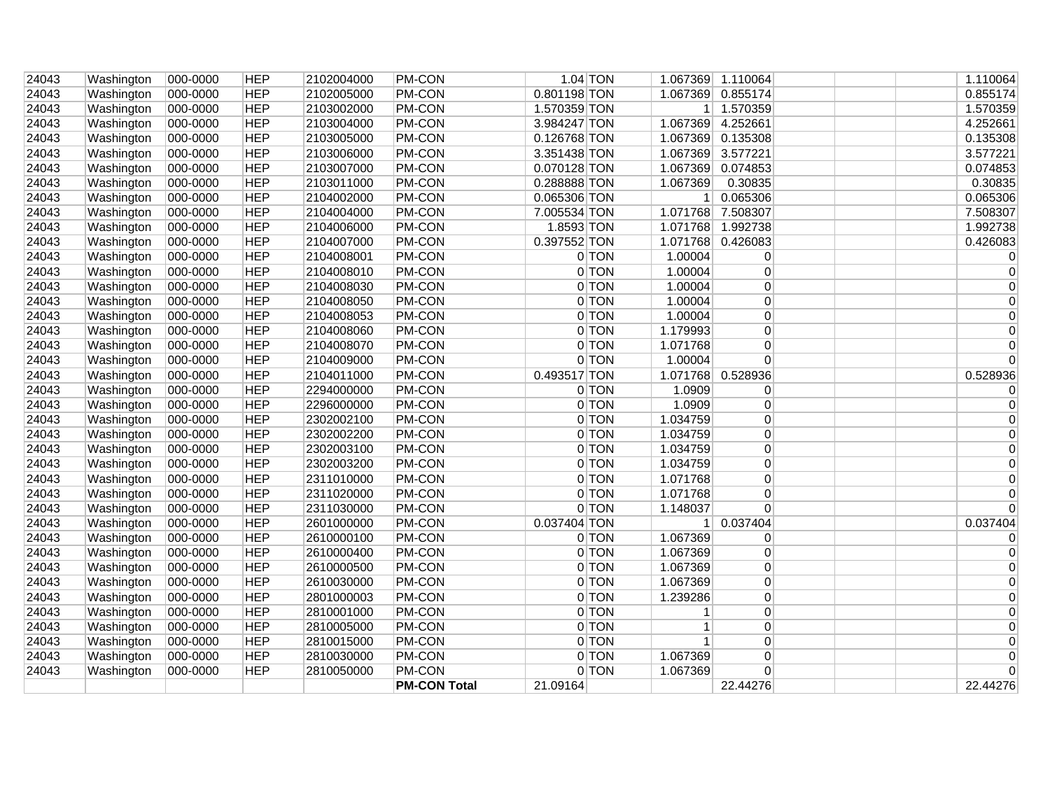|                |                          |                      |                          |                          | <b>PM-CON Total</b> | 21.09164                     |         |                | 22.44276                      |  | 22.44276             |
|----------------|--------------------------|----------------------|--------------------------|--------------------------|---------------------|------------------------------|---------|----------------|-------------------------------|--|----------------------|
| 24043          | Washington               | 000-0000             | <b>HEP</b>               | 2810050000               | <b>PM-CON</b>       |                              | 0 TON   | 1.067369       | 0                             |  | $\Omega$             |
| 24043          | Washington               | 000-0000             | <b>HEP</b>               | 2810030000               | <b>PM-CON</b>       |                              | 0 TON   | 1.067369       | $\overline{0}$                |  | 0                    |
| 24043          | Washington               | 000-0000             | <b>HEP</b>               | 2810015000               | PM-CON              |                              | 0 TON   | 1              | $\overline{0}$                |  | 0                    |
| 24043          | Washington               | 000-0000             | <b>HEP</b>               | 2810005000               | <b>PM-CON</b>       |                              | 0 TON   | $\mathbf{1}$   | $\overline{0}$                |  | 0                    |
| 24043          | Washington               | 000-0000             | <b>HEP</b>               | 2810001000               | <b>PM-CON</b>       |                              | 0 TON   | 1              | $\mathbf{0}$                  |  | 0                    |
| 24043          | Washington               | 000-0000             | <b>HEP</b>               | 2801000003               | <b>PM-CON</b>       |                              | $0$ TON | 1.239286       | $\overline{0}$                |  | 0                    |
| 24043          | Washington               | 000-0000             | <b>HEP</b>               | 2610030000               | <b>PM-CON</b>       |                              | $0$ TON | 1.067369       | $\overline{0}$                |  | 0                    |
| 24043          | Washington               | 000-0000             | <b>HEP</b>               | 2610000500               | PM-CON              |                              | 0 TON   | 1.067369       | $\overline{0}$                |  | 0                    |
| 24043          | Washington               | 000-0000             | <b>HEP</b>               | 2610000400               | PM-CON              |                              | 0 TON   | 1.067369       | $\mathbf{0}$                  |  | 0                    |
| 24043          | Washington               | 000-0000             | <b>HEP</b>               | 2610000100               | PM-CON              |                              | $0$ TON | 1.067369       | $\overline{0}$                |  | 0                    |
| 24043          | Washington               | 000-0000             | <b>HEP</b>               | 2601000000               | <b>PM-CON</b>       | 0.037404 TON                 |         | 1 <sup>1</sup> | 0.037404                      |  | 0.037404             |
| 24043          | Washington               | 000-0000             | <b>HEP</b>               | 2311030000               | <b>PM-CON</b>       |                              | 0 TON   | 1.148037       | $\overline{0}$                |  | $\Omega$             |
| 24043          | Washington               | 000-0000             | <b>HEP</b>               | 2311020000               | <b>PM-CON</b>       |                              | 0 TON   | 1.071768       | $\overline{0}$                |  | 0                    |
| 24043          | Washington               | 000-0000             | <b>HEP</b>               | 2311010000               | <b>PM-CON</b>       |                              | 0 TON   | 1.071768       | 0                             |  | 0                    |
| 24043          | Washington               | 000-0000             | <b>HEP</b>               | 2302003200               | <b>PM-CON</b>       |                              | 0 TON   | 1.034759       | $\overline{0}$                |  | $\Omega$             |
| 24043          | Washington               | 000-0000             | <b>HEP</b>               | 2302003100               | <b>PM-CON</b>       |                              | 0 TON   | 1.034759       | $\mathbf{0}$                  |  | 0                    |
| 24043          | Washington               | 000-0000             | <b>HEP</b>               | 2302002200               | <b>PM-CON</b>       |                              | 0 TON   | 1.034759       | $\mathbf{0}$                  |  | 0                    |
| 24043          | Washington               | 000-0000             | <b>HEP</b>               | 2302002100               | <b>PM-CON</b>       |                              | 0 TON   | 1.034759       | $\mathbf{0}$                  |  | 0                    |
| 24043          | Washington               | 000-0000             | <b>HEP</b>               | 2296000000               | PM-CON              |                              | 0 TON   | 1.0909         | $\mathbf{0}$                  |  | $\Omega$             |
| 24043          | Washington               | 000-0000             | <b>HEP</b>               | 2294000000               | <b>PM-CON</b>       |                              | $0$ TON | 1.0909         | $\overline{0}$                |  | $\Omega$             |
| 24043          | Washington               | 000-0000             | <b>HEP</b>               | 2104011000               | <b>PM-CON</b>       | 0.493517 TON                 |         | 1.071768       | 0.528936                      |  | 0.528936             |
| 24043          | Washington               | 000-0000             | <b>HEP</b>               | 2104009000               | PM-CON              |                              | 0 TON   | 1.00004        | $\mathbf{0}$                  |  | $\Omega$             |
| 24043          | Washington               | 000-0000             | <b>HEP</b>               | 2104008070               | <b>PM-CON</b>       |                              | 0 TON   | 1.071768       | 0                             |  | $\Omega$             |
| 24043          | Washington               | 000-0000             | <b>HEP</b>               | 2104008060               | PM-CON              |                              | 0 TON   | 1.179993       | $\mathbf{0}$                  |  | 0                    |
| 24043          | Washington               | 000-0000             | <b>HEP</b>               | 2104008053               | <b>PM-CON</b>       |                              | $0$ TON | 1.00004        | $\overline{0}$                |  | 0                    |
| 24043          | Washington               | 000-0000             | <b>HEP</b>               | 2104008050               | PM-CON              |                              | 0 TON   | 1.00004        | $\pmb{0}$                     |  | 0                    |
| 24043          | Washington               | 000-0000             | <b>HEP</b>               | 2104008030               | <b>PM-CON</b>       |                              | 0 TON   | 1.00004        | $\overline{0}$                |  | $\Omega$             |
| 24043          | Washington               | 000-0000             | <b>HEP</b>               | 2104008010               | <b>PM-CON</b>       |                              | $0$ TON | 1.00004        | $\overline{0}$                |  | 0                    |
| 24043          | Washington               | 000-0000             | <b>HEP</b>               | 2104008001               | <b>PM-CON</b>       |                              | $0$ TON | 1.00004        | $\overline{0}$                |  | 0                    |
| 24043          | Washington               | 000-0000             | <b>HEP</b>               | 2104007000               | <b>PM-CON</b>       | 0.397552 TON                 |         |                | 1.071768 0.426083             |  | 0.426083             |
| 24043          | Washington               | 000-0000             | <b>HEP</b>               | 2104006000               | <b>PM-CON</b>       | 1.8593 TON                   |         |                | 1.071768 1.992738             |  | 1.992738             |
| 24043          | Washington               | 000-0000             | <b>HEP</b>               | 2104004000               | <b>PM-CON</b>       | 7.005534 TON                 |         |                | 1.071768 7.508307             |  | 7.508307             |
| 24043          | Washington               | 000-0000             | <b>HEP</b>               | 2104002000               | PM-CON              | 0.065306 TON                 |         | 1 <sup>1</sup> | 0.065306                      |  | 0.065306             |
| 24043          | Washington               | 000-0000             | <b>HEP</b>               | 2103011000               | <b>PM-CON</b>       | 0.288888 TON                 |         | 1.067369       | 0.30835                       |  | 0.30835              |
| 24043          | Washington               | 000-0000             | <b>HEP</b>               | 2103007000               | <b>PM-CON</b>       | 0.070128 TON                 |         |                | 1.067369 0.074853             |  | 0.074853             |
| 24043          | Washington               | 000-0000             | <b>HEP</b>               | 2103006000               | <b>PM-CON</b>       | 3.351438 TON                 |         |                | 1.067369 3.577221             |  | 3.577221             |
| 24043          | Washington<br>Washington | 000-0000<br>000-0000 | <b>HEP</b>               | 2103004000<br>2103005000 | <b>PM-CON</b>       | 3.984247 TON<br>0.126768 TON |         |                | 1.067369 0.135308             |  | 4.252661<br>0.135308 |
| 24043<br>24043 | Washington               | 000-0000             | <b>HEP</b><br><b>HEP</b> | 2103002000               | <b>PM-CON</b>       | 1.570359 TON                 |         | 1 <sup>1</sup> | 1.067369 4.252661             |  |                      |
| 24043          | Washington               | 000-0000             |                          | 2102005000               | <b>PM-CON</b>       | 0.801198 TON                 |         |                | 1.067369 0.855174<br>1.570359 |  | 1.570359             |
|                | Washington               | 000-0000             | <b>HEP</b><br><b>HEP</b> | 2102004000               | PM-CON              |                              |         |                | 1.067369 1.110064             |  | 1.110064<br>0.855174 |
| 24043          |                          |                      |                          |                          | <b>PM-CON</b>       | $1.04$ TON                   |         |                |                               |  |                      |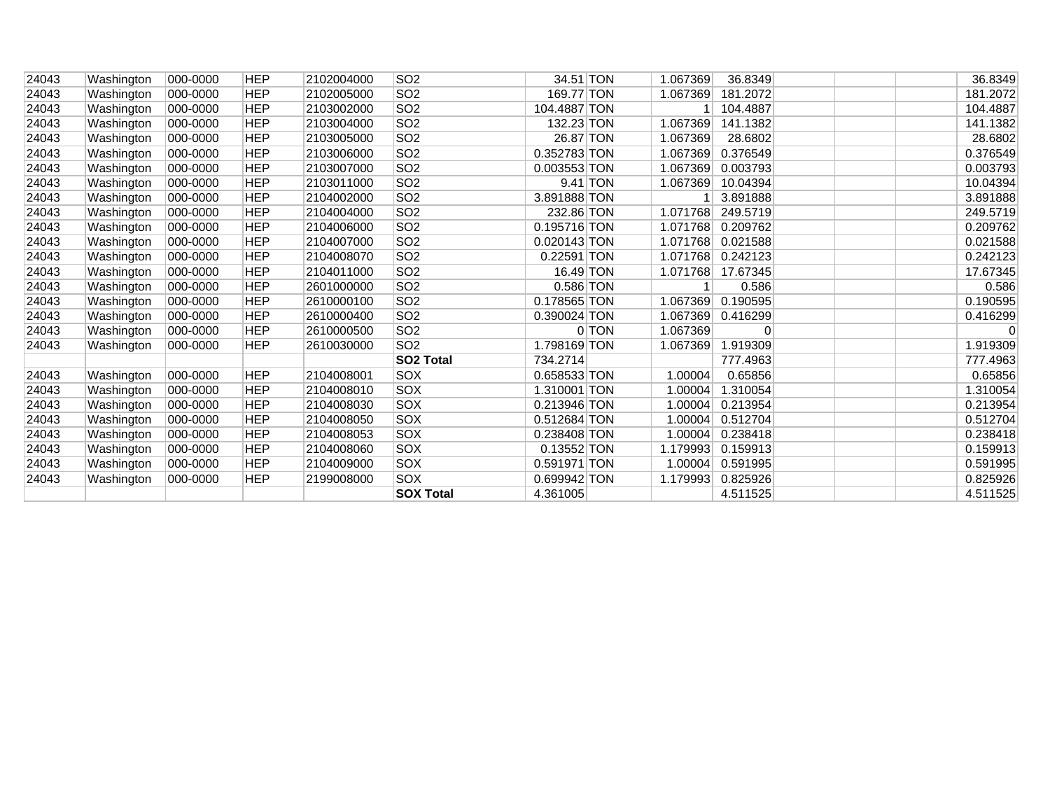| 24043 | Washington | 000-0000 | <b>HEP</b> | 2102004000 | SO2                   | 34.51 TON     |         | 1.067369 | 36.8349  | 36.8349  |
|-------|------------|----------|------------|------------|-----------------------|---------------|---------|----------|----------|----------|
| 24043 | Washington | 000-0000 | <b>HEP</b> | 2102005000 | SO <sub>2</sub>       | 169.77 TON    |         | 1.067369 | 181.2072 | 181.2072 |
| 24043 | Washington | 000-0000 | <b>HEP</b> | 2103002000 | SO <sub>2</sub>       | 104.4887 TON  |         |          | 104.4887 | 104.4887 |
| 24043 | Washington | 000-0000 | <b>HEP</b> | 2103004000 | SO <sub>2</sub>       | 132.23 TON    |         | 1.067369 | 141.1382 | 141.1382 |
| 24043 | Washington | 000-0000 | <b>HEP</b> | 2103005000 | SO <sub>2</sub>       | 26.87 TON     |         | 1.067369 | 28.6802  | 28.6802  |
| 24043 | Washington | 000-0000 | <b>HEP</b> | 2103006000 | SO <sub>2</sub>       | 0.352783 TON  |         | 1.067369 | 0.376549 | 0.376549 |
| 24043 | Washington | 000-0000 | <b>HEP</b> | 2103007000 | SO <sub>2</sub>       | 0.003553 TON  |         | 1.067369 | 0.003793 | 0.003793 |
| 24043 | Washington | 000-0000 | <b>HEP</b> | 2103011000 | SO <sub>2</sub>       | $9.41$ TON    |         | 1.067369 | 10.04394 | 10.04394 |
| 24043 | Washington | 000-0000 | <b>HEP</b> | 2104002000 | SO <sub>2</sub>       | 3.891888 TON  |         |          | 3.891888 | 3.891888 |
| 24043 | Washington | 000-0000 | <b>HEP</b> | 2104004000 | SO <sub>2</sub>       | 232.86 TON    |         | 1.071768 | 249.5719 | 249.5719 |
| 24043 | Washington | 000-0000 | <b>HEP</b> | 2104006000 | SO <sub>2</sub>       | 0.195716 TON  |         | 1.071768 | 0.209762 | 0.209762 |
| 24043 | Washington | 000-0000 | <b>HEP</b> | 2104007000 | SO <sub>2</sub>       | 0.020143 TON  |         | 1.071768 | 0.021588 | 0.021588 |
| 24043 | Washington | 000-0000 | <b>HEP</b> | 2104008070 | SO <sub>2</sub>       | 0.22591 TON   |         | 1.071768 | 0.242123 | 0.242123 |
| 24043 | Washington | 000-0000 | <b>HEP</b> | 2104011000 | SO <sub>2</sub>       | $16.49$ TON   |         | 1.071768 | 17.67345 | 17.67345 |
| 24043 | Washington | 000-0000 | <b>HEP</b> | 2601000000 | SO <sub>2</sub>       | $0.586$ TON   |         |          | 0.586    | 0.586    |
| 24043 | Washington | 000-0000 | <b>HEP</b> | 2610000100 | SO <sub>2</sub>       | 0.178565 TON  |         | 1.067369 | 0.190595 | 0.190595 |
| 24043 | Washington | 000-0000 | <b>HEP</b> | 2610000400 | SO <sub>2</sub>       | 0.390024 TON  |         | 1.067369 | 0.416299 | 0.416299 |
| 24043 | Washington | 000-0000 | <b>HEP</b> | 2610000500 | SO <sub>2</sub>       |               | $0$ TON | 1.067369 | 0        | 0        |
| 24043 | Washington | 000-0000 | <b>HEP</b> | 2610030000 | SO <sub>2</sub>       | 1.798169 TON  |         | 1.067369 | 1.919309 | 1.919309 |
|       |            |          |            |            | SO <sub>2</sub> Total | 734.2714      |         |          | 777.4963 | 777.4963 |
| 24043 | Washington | 000-0000 | <b>HEP</b> | 2104008001 | SOX                   | 0.658533 TON  |         | 1.00004  | 0.65856  | 0.65856  |
| 24043 | Washington | 000-0000 | <b>HEP</b> | 2104008010 | SOX                   | 1.310001 TON  |         | 1.00004  | 1.310054 | 1.310054 |
| 24043 | Washington | 000-0000 | <b>HEP</b> | 2104008030 | SOX                   | 0.213946 TON  |         | 1.00004  | 0.213954 | 0.213954 |
| 24043 | Washington | 000-0000 | <b>HEP</b> | 2104008050 | SOX                   | 0.512684 TON  |         | 1.00004  | 0.512704 | 0.512704 |
| 24043 | Washington | 000-0000 | <b>HEP</b> | 2104008053 | SOX                   | 0.238408 TON  |         | 1.00004  | 0.238418 | 0.238418 |
| 24043 | Washington | 000-0000 | <b>HEP</b> | 2104008060 | SOX                   | $0.13552$ TON |         | 1.179993 | 0.159913 | 0.159913 |
| 24043 | Washington | 000-0000 | <b>HEP</b> | 2104009000 | SOX                   | 0.591971 TON  |         | 1.00004  | 0.591995 | 0.591995 |
| 24043 | Washington | 000-0000 | <b>HEP</b> | 2199008000 | SOX                   | 0.699942 TON  |         | 1.179993 | 0.825926 | 0.825926 |
|       |            |          |            |            | <b>SOX Total</b>      | 4.361005      |         |          | 4.511525 | 4.511525 |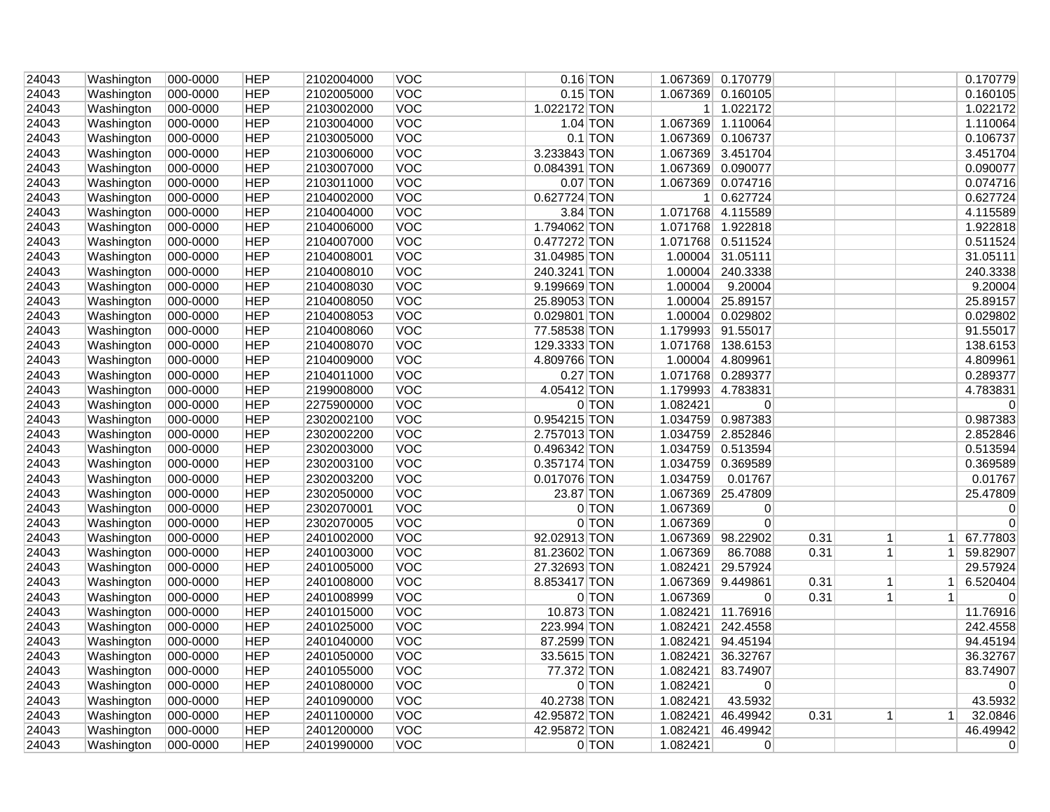| 24043 | Washington | 000-0000             | <b>HEP</b> | 2102004000 | VOC        |              | $0.16$ TON |                | 1.067369 0.170779 |      |                |                | 0.170779    |
|-------|------------|----------------------|------------|------------|------------|--------------|------------|----------------|-------------------|------|----------------|----------------|-------------|
| 24043 | Washington | 000-0000             | <b>HEP</b> | 2102005000 | <b>VOC</b> |              | $0.15$ TON |                | 1.067369 0.160105 |      |                |                | 0.160105    |
| 24043 | Washington | 000-0000             | <b>HEP</b> | 2103002000 | <b>VOC</b> | 1.022172 TON |            | 1 <sup>1</sup> | 1.022172          |      |                |                | 1.022172    |
| 24043 | Washington | 000-0000             | <b>HEP</b> | 2103004000 | VOC        |              | 1.04 TON   |                | 1.067369 1.110064 |      |                |                | 1.110064    |
| 24043 | Washington | 000-0000             | <b>HEP</b> | 2103005000 | <b>VOC</b> |              | $0.1$ TON  |                | 1.067369 0.106737 |      |                |                | 0.106737    |
| 24043 | Washington | 000-0000             | <b>HEP</b> | 2103006000 | <b>VOC</b> | 3.233843 TON |            |                | 1.067369 3.451704 |      |                |                | 3.451704    |
| 24043 | Washington | 000-0000             | <b>HEP</b> | 2103007000 | VOC        | 0.084391 TON |            |                | 1.067369 0.090077 |      |                |                | 0.090077    |
| 24043 | Washington | 000-0000             | <b>HEP</b> | 2103011000 | <b>VOC</b> |              | $0.07$ TON |                | 1.067369 0.074716 |      |                |                | 0.074716    |
| 24043 | Washington | 000-0000             | <b>HEP</b> | 2104002000 | VOC        | 0.627724 TON |            |                | 1 0.627724        |      |                |                | 0.627724    |
| 24043 | Washington | 000-0000             | <b>HEP</b> | 2104004000 | <b>VOC</b> |              | 3.84 TON   |                | 1.071768 4.115589 |      |                |                | 4.115589    |
| 24043 | Washington | 000-0000             | <b>HEP</b> | 2104006000 | <b>VOC</b> | 1.794062 TON |            |                | 1.071768 1.922818 |      |                |                | 1.922818    |
| 24043 | Washington | 000-0000             | <b>HEP</b> | 2104007000 | <b>VOC</b> | 0.477272 TON |            |                | 1.071768 0.511524 |      |                |                | 0.511524    |
| 24043 | Washington | 000-0000             | <b>HEP</b> | 2104008001 | VOC        | 31.04985 TON |            |                | 1.00004 31.05111  |      |                |                | 31.05111    |
| 24043 | Washington | 000-0000             | <b>HEP</b> | 2104008010 | <b>VOC</b> | 240.3241 TON |            |                | 1.00004 240.3338  |      |                |                | 240.3338    |
| 24043 | Washington | 000-0000             | <b>HEP</b> | 2104008030 | <b>VOC</b> | 9.199669 TON |            | 1.00004        | 9.20004           |      |                |                | 9.20004     |
| 24043 | Washington | 000-0000             | <b>HEP</b> | 2104008050 | <b>VOC</b> | 25.89053 TON |            |                | 1.00004 25.89157  |      |                |                | 25.89157    |
| 24043 | Washington | 000-0000             | <b>HEP</b> | 2104008053 | VOC        | 0.029801 TON |            |                | 1.00004 0.029802  |      |                |                | 0.029802    |
| 24043 | Washington | 000-0000             | <b>HEP</b> | 2104008060 | <b>VOC</b> | 77.58538 TON |            |                | 1.179993 91.55017 |      |                |                | 91.55017    |
| 24043 | Washington | 000-0000             | <b>HEP</b> | 2104008070 | <b>VOC</b> | 129.3333 TON |            | 1.071768       | 138.6153          |      |                |                | 138.6153    |
| 24043 | Washington | 000-0000             | <b>HEP</b> | 2104009000 | VOC        | 4.809766 TON |            |                | 1.00004 4.809961  |      |                |                | 4.809961    |
| 24043 | Washington | 000-0000             | <b>HEP</b> | 2104011000 | VOC        |              | $0.27$ TON |                | 1.071768 0.289377 |      |                |                | 0.289377    |
| 24043 | Washington | 000-0000             | <b>HEP</b> | 2199008000 | <b>VOC</b> | 4.05412 TON  |            |                | 1.179993 4.783831 |      |                |                | 4.783831    |
| 24043 | Washington | 000-0000             | <b>HEP</b> | 2275900000 | <b>VOC</b> |              | 0 TON      | 1.082421       | $\mathbf{0}$      |      |                |                | $\mathbf 0$ |
| 24043 |            |                      | <b>HEP</b> | 2302002100 | <b>VOC</b> | 0.954215 TON |            |                | 1.034759 0.987383 |      |                |                | 0.987383    |
|       | Washington | 000-0000<br>000-0000 | <b>HEP</b> | 2302002200 | VOC        | 2.757013 TON |            |                | 1.034759 2.852846 |      |                |                | 2.852846    |
| 24043 | Washington |                      |            |            | <b>VOC</b> |              |            |                |                   |      |                |                |             |
| 24043 | Washington | 000-0000             | <b>HEP</b> | 2302003000 |            | 0.496342 TON |            |                | 1.034759 0.513594 |      |                |                | 0.513594    |
| 24043 | Washington | 000-0000             | <b>HEP</b> | 2302003100 | <b>VOC</b> | 0.357174 TON |            |                | 1.034759 0.369589 |      |                |                | 0.369589    |
| 24043 | Washington | 000-0000             | <b>HEP</b> | 2302003200 | VOC        | 0.017076 TON |            | 1.034759       | 0.01767           |      |                |                | 0.01767     |
| 24043 | Washington | 000-0000             | <b>HEP</b> | 2302050000 | VOC        | 23.87 TON    |            |                | 1.067369 25.47809 |      |                |                | 25.47809    |
| 24043 | Washington | 000-0000             | <b>HEP</b> | 2302070001 | <b>VOC</b> |              | $0$ TON    | 1.067369       | 0                 |      |                |                | $\Omega$    |
| 24043 | Washington | 000-0000             | <b>HEP</b> | 2302070005 | VOC        |              | $0$ TON    | 1.067369       | $\overline{0}$    |      |                |                | $\mathbf 0$ |
| 24043 | Washington | 000-0000             | <b>HEP</b> | 2401002000 | <b>VOC</b> | 92.02913 TON |            | 1.067369       | 98.22902          | 0.31 | $\vert$        | -1 I           | 67.77803    |
| 24043 | Washington | 000-0000             | <b>HEP</b> | 2401003000 | VOC        | 81.23602 TON |            | 1.067369       | 86.7088           | 0.31 | 1 <sup>1</sup> |                | 1 59.82907  |
| 24043 | Washington | 000-0000             | <b>HEP</b> | 2401005000 | <b>VOC</b> | 27.32693 TON |            | 1.082421       | 29.57924          |      |                |                | 29.57924    |
| 24043 | Washington | 000-0000             | <b>HEP</b> | 2401008000 | <b>VOC</b> | 8.853417 TON |            |                | 1.067369 9.449861 | 0.31 | 1 <sup>1</sup> | 1              | 6.520404    |
| 24043 | Washington | 000-0000             | <b>HEP</b> | 2401008999 | VOC        |              | 0 TON      | 1.067369       | $\mathbf{0}$      | 0.31 | 1              | 1 <sup>1</sup> | $\pmb{0}$   |
| 24043 | Washington | 000-0000             | <b>HEP</b> | 2401015000 | <b>VOC</b> | 10.873 TON   |            | 1.082421       | 11.76916          |      |                |                | 11.76916    |
| 24043 | Washington | 000-0000             | <b>HEP</b> | 2401025000 | <b>VOC</b> | 223.994 TON  |            | 1.082421       | 242.4558          |      |                |                | 242.4558    |
| 24043 | Washington | 000-0000             | <b>HEP</b> | 2401040000 | <b>VOC</b> | 87.2599 TON  |            | 1.082421       | 94.45194          |      |                |                | 94.45194    |
| 24043 | Washington | 000-0000             | <b>HEP</b> | 2401050000 | <b>VOC</b> | 33.5615 TON  |            | 1.082421       | 36.32767          |      |                |                | 36.32767    |
| 24043 | Washington | 000-0000             | <b>HEP</b> | 2401055000 | VOC        | 77.372 TON   |            | 1.082421       | 83.74907          |      |                |                | 83.74907    |
| 24043 | Washington | 000-0000             | <b>HEP</b> | 2401080000 | <b>VOC</b> |              | 0 TON      | 1.082421       | $\overline{0}$    |      |                |                | 0           |
| 24043 | Washington | 000-0000             | <b>HEP</b> | 2401090000 | <b>VOC</b> | 40.2738 TON  |            | 1.082421       | 43.5932           |      |                |                | 43.5932     |
| 24043 | Washington | 000-0000             | <b>HEP</b> | 2401100000 | <b>VOC</b> | 42.95872 TON |            | 1.082421       | 46.49942          | 0.31 | 1 <sup>1</sup> | 1 <sup>1</sup> | 32.0846     |
| 24043 | Washington | 000-0000             | <b>HEP</b> | 2401200000 | <b>VOC</b> | 42.95872 TON |            | 1.082421       | 46.49942          |      |                |                | 46.49942    |
| 24043 | Washington | 000-0000             | <b>HEP</b> | 2401990000 | <b>VOC</b> |              | 0 TON      | 1.082421       | $\overline{0}$    |      |                |                | $\mathbf 0$ |